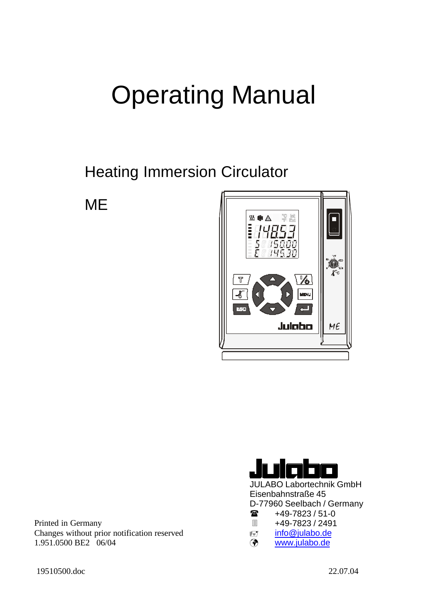# Operating Manual

Heating Immersion Circulator

**ME** 



Printed in Germany Changes without prior notification reserved 1.951.0500 BE2 06/04



JULABO Labortechnik GmbH Eisenbahnstraße 45 D-77960 Seelbach / Germany

- $\circledR$  +49-7823/51-0
- 3 +49-7823 / 2491
- $\equiv$ 7 info@julabo.de
- ¸ www.julabo.de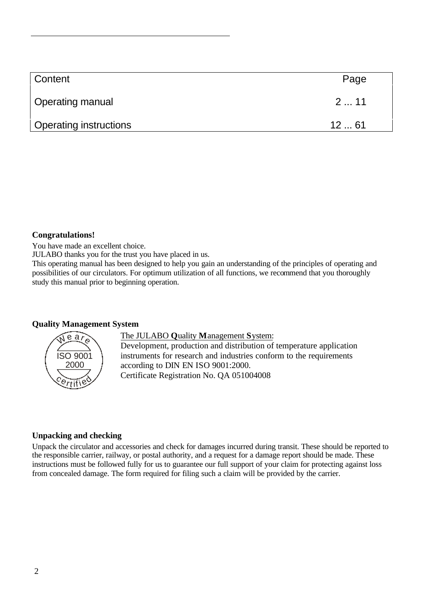| <b>Content</b>                | Page |
|-------------------------------|------|
| <b>Operating manual</b>       | 211  |
| <b>Operating instructions</b> | 1261 |

#### **Congratulations!**

You have made an excellent choice.

JULABO thanks you for the trust you have placed in us.

This operating manual has been designed to help you gain an understanding of the principles of operating and possibilities of our circulators. For optimum utilization of all functions, we recommend that you thoroughly study this manual prior to beginning operation.

#### **Quality Management System**



The JULABO **Q**uality **M**anagement **S**ystem:

Development, production and distribution of temperature application instruments for research and industries conform to the requirements according to DIN EN ISO 9001:2000. Certificate Registration No. QA 051004008

#### **Unpacking and checking**

Unpack the circulator and accessories and check for damages incurred during transit. These should be reported to the responsible carrier, railway, or postal authority, and a request for a damage report should be made. These instructions must be followed fully for us to guarantee our full support of your claim for protecting against loss from concealed damage. The form required for filing such a claim will be provided by the carrier.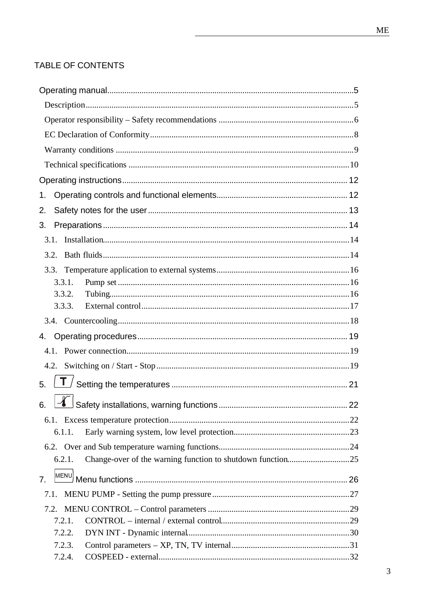#### TABLE OF CONTENTS

| 1.                                                                   |  |
|----------------------------------------------------------------------|--|
| 2.                                                                   |  |
| 3.                                                                   |  |
|                                                                      |  |
| 3.2.                                                                 |  |
|                                                                      |  |
| 3.3.1.                                                               |  |
| 3.3.2.                                                               |  |
| 3.3.3.                                                               |  |
|                                                                      |  |
| 4.                                                                   |  |
|                                                                      |  |
|                                                                      |  |
| 5.                                                                   |  |
|                                                                      |  |
| 6.                                                                   |  |
| 6.1.1.                                                               |  |
|                                                                      |  |
| Change-over of the warning function to shutdown function25<br>6.2.1. |  |
|                                                                      |  |
| MENU)<br>7.                                                          |  |
| 7.1.                                                                 |  |
|                                                                      |  |
| 7.2.1.                                                               |  |
| 7.2.2.                                                               |  |
| 7.2.3.                                                               |  |
| 7.2.4.                                                               |  |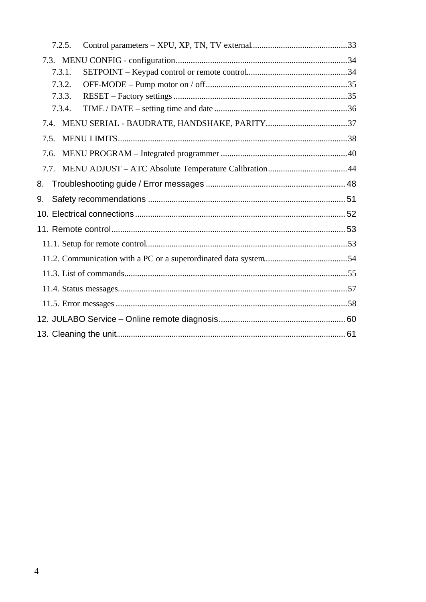| 7.2.5. |  |
|--------|--|
|        |  |
| 7.3.1. |  |
| 7.3.2. |  |
| 7.3.3. |  |
| 7.3.4. |  |
| 7.4.   |  |
| 7.5.   |  |
| 7.6.   |  |
|        |  |
| 8.     |  |
| 9.     |  |
|        |  |
|        |  |
|        |  |
|        |  |
|        |  |
|        |  |
|        |  |
|        |  |
|        |  |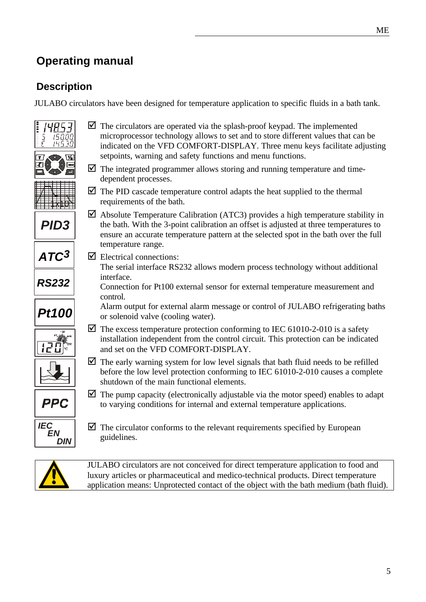### **Operating manual**

### **Description**

JULABO circulators have been designed for temperature application to specific fluids in a bath tank.



application means: Unprotected contact of the object with the bath medium (bath fluid).

5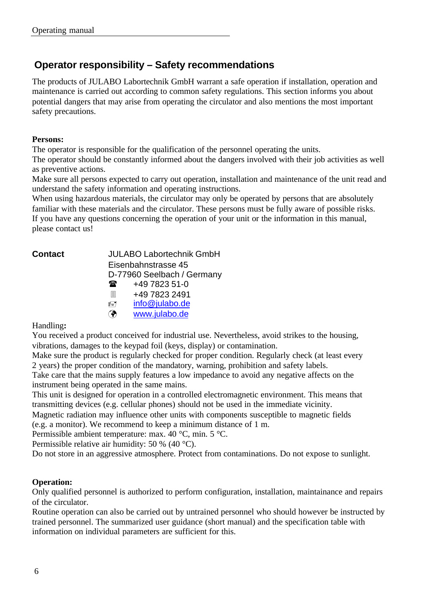### **Operator responsibility – Safety recommendations**

The products of JULABO Labortechnik GmbH warrant a safe operation if installation, operation and maintenance is carried out according to common safety regulations. This section informs you about potential dangers that may arise from operating the circulator and also mentions the most important safety precautions.

#### **Persons:**

The operator is responsible for the qualification of the personnel operating the units.

The operator should be constantly informed about the dangers involved with their job activities as well as preventive actions.

Make sure all persons expected to carry out operation, installation and maintenance of the unit read and understand the safety information and operating instructions.

When using hazardous materials, the circulator may only be operated by persons that are absolutely familiar with these materials and the circulator. These persons must be fully aware of possible risks. If you have any questions concerning the operation of your unit or the information in this manual, please contact us!

**Contact** JULABO Labortechnik GmbH Eisenbahnstrasse 45 D-77960 Seelbach / Germany  $\circledR$  +49 7823 51-0 3 +49 7823 2491 ö info@julabo.de ¸ www.julabo.de

#### Handling**:**

You received a product conceived for industrial use. Nevertheless, avoid strikes to the housing, vibrations, damages to the keypad foil (keys, display) or contamination.

Make sure the product is regularly checked for proper condition. Regularly check (at least every 2 years) the proper condition of the mandatory, warning, prohibition and safety labels.

Take care that the mains supply features a low impedance to avoid any negative affects on the instrument being operated in the same mains.

This unit is designed for operation in a controlled electromagnetic environment. This means that transmitting devices (e.g. cellular phones) should not be used in the immediate vicinity.

Magnetic radiation may influence other units with components susceptible to magnetic fields (e.g. a monitor). We recommend to keep a minimum distance of 1 m.

Permissible ambient temperature: max. 40 °C, min. 5 °C.

Permissible relative air humidity: 50 % (40 °C).

Do not store in an aggressive atmosphere. Protect from contaminations. Do not expose to sunlight.

#### **Operation:**

Only qualified personnel is authorized to perform configuration, installation, maintainance and repairs of the circulator.

Routine operation can also be carried out by untrained personnel who should however be instructed by trained personnel. The summarized user guidance (short manual) and the specification table with information on individual parameters are sufficient for this.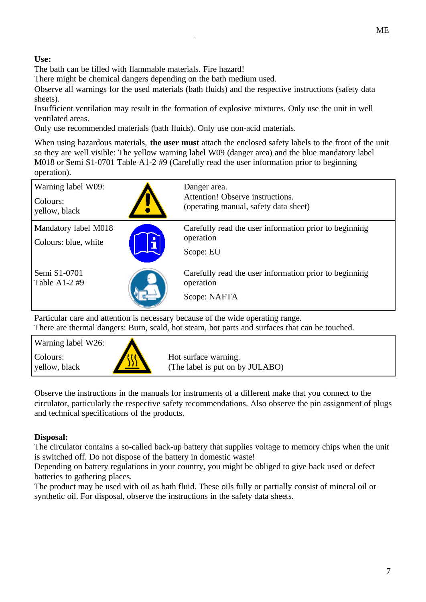#### **Use:**

The bath can be filled with flammable materials. Fire hazard!

There might be chemical dangers depending on the bath medium used.

Observe all warnings for the used materials (bath fluids) and the respective instructions (safety data sheets).

Insufficient ventilation may result in the formation of explosive mixtures. Only use the unit in well ventilated areas.

Only use recommended materials (bath fluids). Only use non-acid materials.

When using hazardous materials, **the user must** attach the enclosed safety labels to the front of the unit so they are well visible: The yellow warning label W09 (danger area) and the blue mandatory label M018 or Semi S1-0701 Table A1-2 #9 (Carefully read the user information prior to beginning operation).

| Warning label W09:<br>Colours:<br>yellow, black | Danger area.<br>Attention! Observe instructions.<br>(operating manual, safety data sheet) |
|-------------------------------------------------|-------------------------------------------------------------------------------------------|
| Mandatory label M018<br>Colours: blue, white    | Carefully read the user information prior to beginning<br>operation<br>Scope: EU          |
| Semi S1-0701<br>Table A1-2 $#9$                 | Carefully read the user information prior to beginning<br>operation<br>Scope: NAFTA       |

Particular care and attention is necessary because of the wide operating range. There are thermal dangers: Burn, scald, hot steam, hot parts and surfaces that can be touched.

| Warning label W26:        |     |                                                         |
|---------------------------|-----|---------------------------------------------------------|
| Colours:<br>yellow, black | THE | Hot surface warning.<br>(The label is put on by JULABO) |

Observe the instructions in the manuals for instruments of a different make that you connect to the circulator, particularly the respective safety recommendations. Also observe the pin assignment of plugs and technical specifications of the products.

#### **Disposal:**

The circulator contains a so-called back-up battery that supplies voltage to memory chips when the unit is switched off. Do not dispose of the battery in domestic waste!

Depending on battery regulations in your country, you might be obliged to give back used or defect batteries to gathering places.

The product may be used with oil as bath fluid. These oils fully or partially consist of mineral oil or synthetic oil. For disposal, observe the instructions in the safety data sheets.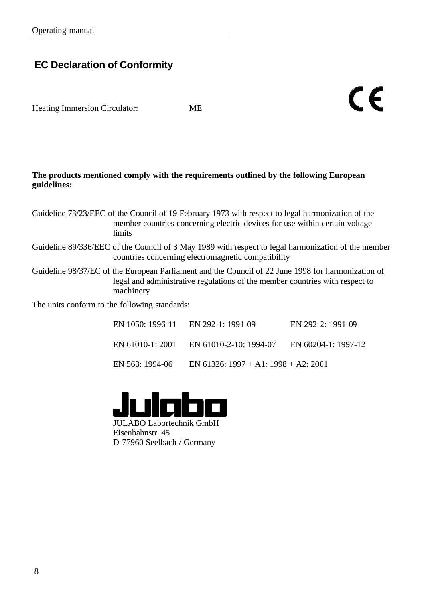### **EC Declaration of Conformity**

Heating Immersion Circulator: ME

#### **The products mentioned comply with the requirements outlined by the following European guidelines:**

Guideline 73/23/EEC of the Council of 19 February 1973 with respect to legal harmonization of the member countries concerning electric devices for use within certain voltage limits

- Guideline 89/336/EEC of the Council of 3 May 1989 with respect to legal harmonization of the member countries concerning electromagnetic compatibility
- Guideline 98/37/EC of the European Parliament and the Council of 22 June 1998 for harmonization of legal and administrative regulations of the member countries with respect to machinery

The units conform to the following standards:

|                  | $EN$ 1050: 1996-11 $EN$ 292-1: 1991-09 | $EN$ 292-2: 1991-09 |
|------------------|----------------------------------------|---------------------|
| EN 61010-1: 2001 | EN 61010-2-10: 1994-07                 | EN 60204-1: 1997-12 |
| EN 563: 1994-06  | EN 61326: 1997 + A1: 1998 + A2: 2001   |                     |

CE



JULABO Labortechnik GmbH Eisenbahnstr. 45 D-77960 Seelbach / Germany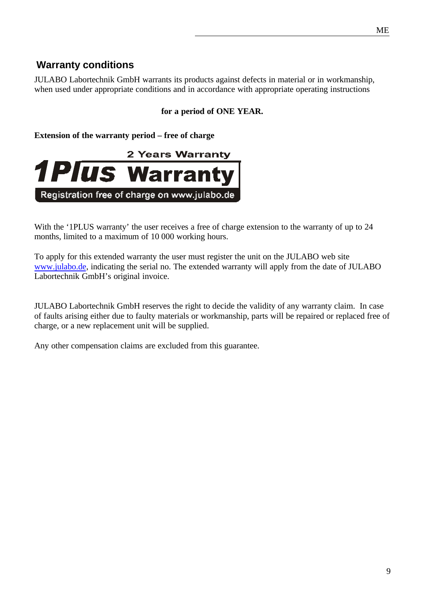JULABO Labortechnik GmbH warrants its products against defects in material or in workmanship, when used under appropriate conditions and in accordance with appropriate operating instructions

#### **for a period of ONE YEAR.**

**Extension of the warranty period – free of charge**

**Warranty conditions**



With the '1PLUS warranty' the user receives a free of charge extension to the warranty of up to 24 months, limited to a maximum of 10 000 working hours.

To apply for this extended warranty the user must register the unit on the JULABO web site www.julabo.de, indicating the serial no. The extended warranty will apply from the date of JULABO Labortechnik GmbH's original invoice.

JULABO Labortechnik GmbH reserves the right to decide the validity of any warranty claim. In case of faults arising either due to faulty materials or workmanship, parts will be repaired or replaced free of charge, or a new replacement unit will be supplied.

Any other compensation claims are excluded from this guarantee.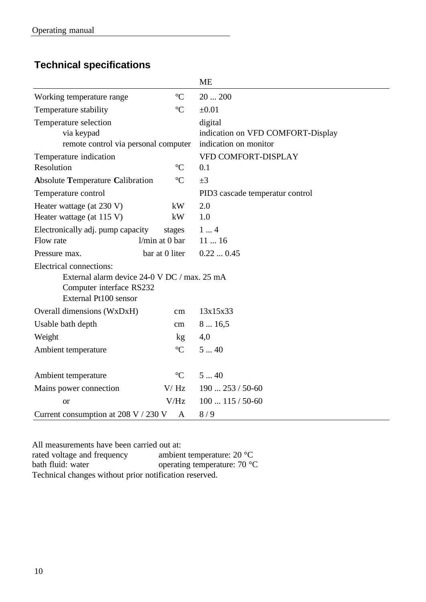### **Technical specifications**

|                                                                                                                              |                  | <b>ME</b>                                                             |
|------------------------------------------------------------------------------------------------------------------------------|------------------|-----------------------------------------------------------------------|
| Working temperature range                                                                                                    | $\rm ^{\circ}C$  | 20200                                                                 |
| Temperature stability                                                                                                        | $\rm ^{\circ}C$  | $\pm 0.01$                                                            |
| Temperature selection<br>via keypad<br>remote control via personal computer                                                  |                  | digital<br>indication on VFD COMFORT-Display<br>indication on monitor |
| Temperature indication                                                                                                       |                  | <b>VFD COMFORT-DISPLAY</b>                                            |
| Resolution                                                                                                                   | $\rm ^{\circ}C$  | 0.1                                                                   |
| <b>Absolute Temperature Calibration</b>                                                                                      | $\rm ^{\circ}C$  | $\pm 3$                                                               |
| Temperature control                                                                                                          |                  | PID3 cascade temperatur control                                       |
| Heater wattage (at 230 V)                                                                                                    | kW               | 2.0                                                                   |
| Heater wattage (at 115 V)                                                                                                    | kW               | 1.0                                                                   |
| Electronically adj. pump capacity                                                                                            | stages           | 14                                                                    |
| Flow rate                                                                                                                    | $1/min$ at 0 bar | 1116                                                                  |
| Pressure max.                                                                                                                | bar at 0 liter   | 0.220.45                                                              |
| Electrical connections:<br>External alarm device 24-0 V DC / max. 25 mA<br>Computer interface RS232<br>External Pt100 sensor |                  |                                                                       |
| Overall dimensions (WxDxH)                                                                                                   | cm               | 13x15x33                                                              |
| Usable bath depth                                                                                                            | cm               | 816,5                                                                 |
| Weight                                                                                                                       | kg               | 4,0                                                                   |
| Ambient temperature                                                                                                          | $\rm ^{\circ}C$  | 540                                                                   |
| Ambient temperature                                                                                                          | $\rm ^{\circ}C$  | 540                                                                   |
| Mains power connection                                                                                                       | V/Hz             | $190253/50-60$                                                        |
| <b>or</b>                                                                                                                    | V/Hz             | $100115/50-60$                                                        |
| Current consumption at 208 V / 230 V                                                                                         | A                | 8/9                                                                   |

All measurements have been carried out at:<br>rated voltage and frequency ambient temperature: 20  $^{\circ}$ C rated voltage and frequency bath fluid: water operating temperature: 70 °C Technical changes without prior notification reserved.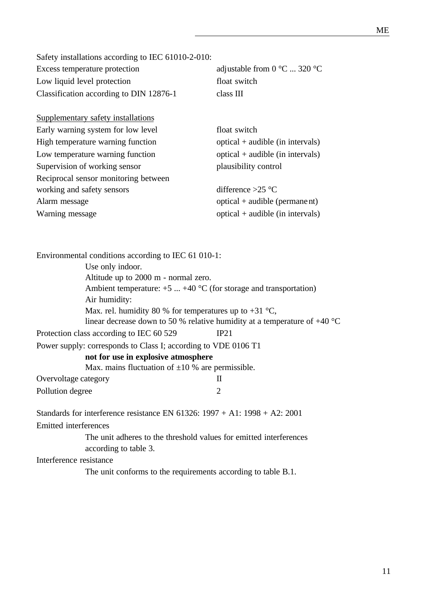Safety installations according to IEC 61010-2-010: Excess temperature protection adjustable from 0 °C ... 320 °C Low liquid level protection float switch Classification according to DIN 12876-1 class III

| Supplementary safety installations   |                                    |
|--------------------------------------|------------------------------------|
| Early warning system for low level   | float switch                       |
| High temperature warning function    | $optical + audible (in intervals)$ |
| Low temperature warning function     | $optical + audible (in intervals)$ |
| Supervision of working sensor        | plausibility control               |
| Reciprocal sensor monitoring between |                                    |
| working and safety sensors           | difference $>25$ °C                |
| Alarm message                        | $optical + audible (permane nt)$   |
| Warning message                      | $optical + audible (in intervals)$ |

| Environmental conditions according to IEC 61 010-1:                                                                                                              |                                                                             |
|------------------------------------------------------------------------------------------------------------------------------------------------------------------|-----------------------------------------------------------------------------|
| Use only indoor.                                                                                                                                                 |                                                                             |
| Altitude up to 2000 m - normal zero.                                                                                                                             |                                                                             |
|                                                                                                                                                                  | Ambient temperature: $+5$ $+40$ °C (for storage and transportation)         |
| Air humidity:                                                                                                                                                    |                                                                             |
| Max. rel. humidity 80 % for temperatures up to $+31$ °C,                                                                                                         |                                                                             |
|                                                                                                                                                                  | linear decrease down to 50 % relative humidity at a temperature of $+40$ °C |
| Protection class according to IEC 60 529                                                                                                                         | IP21                                                                        |
| Power supply: corresponds to Class I; according to VDE 0106 T1                                                                                                   |                                                                             |
| not for use in explosive atmosphere                                                                                                                              |                                                                             |
| Max. mains fluctuation of $\pm 10$ % are permissible.                                                                                                            |                                                                             |
| Overvoltage category                                                                                                                                             | H                                                                           |
| Pollution degree                                                                                                                                                 | 2                                                                           |
| Standards for interference resistance EN $61326: 1997 + A1: 1998 + A2: 2001$                                                                                     |                                                                             |
| Emitted interferences                                                                                                                                            |                                                                             |
| The unit adheres to the threshold values for emitted interferences                                                                                               |                                                                             |
| according to table 3.                                                                                                                                            |                                                                             |
| Interference resistance                                                                                                                                          |                                                                             |
| $\mathbf{T1}$ , and $\mathbf{t}$ are $\mathbf{f}_1$ , and $\mathbf{f}_2$ are the contracted of the condition of $\mathbf{f}_1$ , $\mathbf{f}_2$ , $\mathbf{f}_3$ |                                                                             |

The unit conforms to the requirements according to table B.1.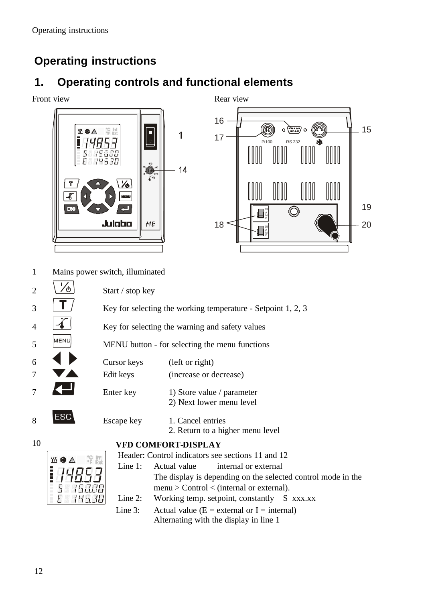### **Operating instructions**

### **1. Operating controls and functional elements**





1 Mains power switch, illuminated





- - The display is depending on the selected control mode in the menu > Control < (internal or external). Line 2: Working temp. setpoint, constantly S xxx.xx Line 3: Actual value  $(E =$  external or I = internal)

Alternating with the display in line 1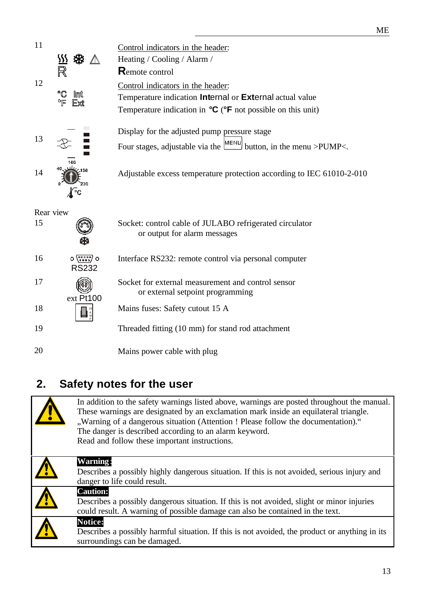| 11        |                       | Control indicators in the header:                                                            |
|-----------|-----------------------|----------------------------------------------------------------------------------------------|
|           |                       | Heating / Cooling / Alarm /                                                                  |
|           |                       | Remote control                                                                               |
| 12        |                       | Control indicators in the header:                                                            |
|           | °C<br>Imt<br>ᅂ<br>Fxt | Temperature indication Internal or External actual value                                     |
|           |                       | Temperature indication in ${}^{\circ}C$ ( ${}^{\circ}F$ not possible on this unit)           |
|           |                       | Display for the adjusted pump pressure stage                                                 |
| 13        |                       | Four stages, adjustable via the $\frac{ \text{MEM} }{ \text{H}}$ button, in the menu >PUMP<. |
|           |                       |                                                                                              |
| 14        |                       | Adjustable excess temperature protection according to IEC 61010-2-010                        |
|           |                       |                                                                                              |
|           |                       |                                                                                              |
| Rear view |                       |                                                                                              |
| 15        |                       | Socket: control cable of JULABO refrigerated circulator                                      |
|           |                       | or output for alarm messages                                                                 |
| 16        | $0 \sqrt{10000} 0$    | Interface RS232: remote control via personal computer                                        |
|           | <b>RS232</b>          |                                                                                              |
| 17        |                       | Socket for external measurement and control sensor                                           |
|           | ext Pt100             | or external setpoint programming                                                             |
| 18        |                       | Mains fuses: Safety cutout 15 A                                                              |
| 19        |                       | Threaded fitting (10 mm) for stand rod attachment                                            |

## **2. Safety notes for the user**

| In addition to the safety warnings listed above, warnings are posted throughout the manual.<br>These warnings are designated by an exclamation mark inside an equilateral triangle.<br>"Warning of a dangerous situation (Attention ! Please follow the documentation)."<br>The danger is described according to an alarm keyword.<br>Read and follow these important instructions. |
|-------------------------------------------------------------------------------------------------------------------------------------------------------------------------------------------------------------------------------------------------------------------------------------------------------------------------------------------------------------------------------------|
| Warning:<br>Describes a possibly highly dangerous situation. If this is not avoided, serious injury and<br>danger to life could result.                                                                                                                                                                                                                                             |
| <b>Caution:</b><br>Describes a possibly dangerous situation. If this is not avoided, slight or minor injuries<br>could result. A warning of possible damage can also be contained in the text.                                                                                                                                                                                      |
| <b>Notice:</b><br>Describes a possibly harmful situation. If this is not avoided, the product or anything in its<br>surroundings can be damaged.                                                                                                                                                                                                                                    |

ME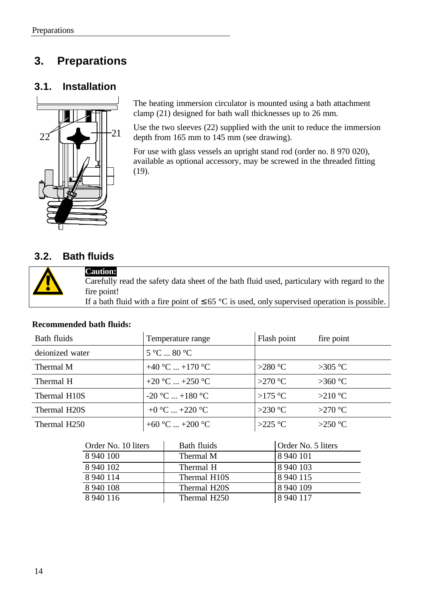### **3. Preparations**

### **3.1. Installation**



The heating immersion circulator is mounted using a bath attachment clamp (21) designed for bath wall thicknesses up to 26 mm.

Use the two sleeves (22) supplied with the unit to reduce the immersion depth from 165 mm to 145 mm (see drawing).

For use with glass vessels an upright stand rod (order no. 8 970 020), available as optional accessory, may be screwed in the threaded fitting (19).

### **3.2. Bath fluids**



**Caution:** Carefully read the safety data sheet of the bath fluid used, particulary with regard to the fire point! If a bath fluid with a fire point of  $\leq 65$  °C is used, only supervised operation is possible.

#### **Recommended bath fluids:**

| Bath fluids               | Temperature range              | Flash point      | fire point |
|---------------------------|--------------------------------|------------------|------------|
| deionized water           | $5^{\circ}$ C  80 $^{\circ}$ C |                  |            |
| Thermal M                 | +40 °C  +170 °C                | >280 $\degree$ C | $>305$ °C  |
| Thermal H                 | +20 °C  +250 °C                | >270 $\degree$ C | $>360$ °C  |
| Thermal H10S              | $-20$ °C $+180$ °C             | >175 °C          | $>210$ °C  |
| Thermal H <sub>20</sub> S | +0 °C  +220 °C                 | >230 $\degree$ C | $>270$ °C  |
| Thermal H <sub>250</sub>  | +60 °C  +200 °C                | >225 °C          | >250 °C    |

| Order No. 10 liters | Bath fluids               | Order No. 5 liters |
|---------------------|---------------------------|--------------------|
| 8 940 100           | Thermal M                 | 8 940 101          |
| 8 940 102           | Thermal H                 | 8 940 103          |
| 8 940 114           | Thermal H10S              | 8 9 4 0 1 1 5      |
| 8 940 108           | Thermal H <sub>20</sub> S | 8 940 109          |
| 8 940 116           | Thermal H250              | 8 940 117          |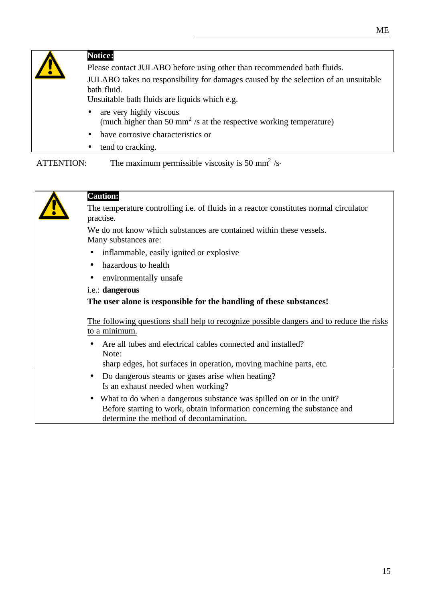

ATTENTION: The maximum permissible viscosity is 50 mm<sup>2</sup> /s



### **Caution:**

The temperature controlling i.e. of fluids in a reactor constitutes normal circulator practise.

We do not know which substances are contained within these vessels. Many substances are:

- inflammable, easily ignited or explosive
- hazardous to health
- environmentally unsafe
- i.e.: **dangerous**

**The user alone is responsible for the handling of these substances!**

The following questions shall help to recognize possible dangers and to reduce the risks to a minimum.

• Are all tubes and electrical cables connected and installed? Note:

sharp edges, hot surfaces in operation, moving machine parts, etc.

- Do dangerous steams or gases arise when heating? Is an exhaust needed when working?
- What to do when a dangerous substance was spilled on or in the unit? Before starting to work, obtain information concerning the substance and determine the method of decontamination.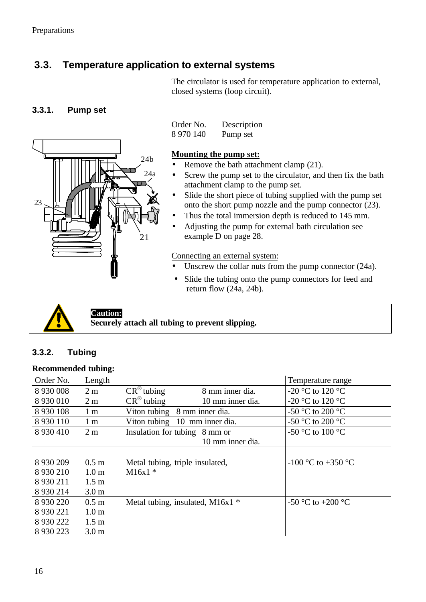### **3.3. Temperature application to external systems**

The circulator is used for temperature application to external, closed systems (loop circuit).

#### **3.3.1. Pump set**



Order No. Description 8 970 140 Pump set

#### **Mounting the pump set:**

- Remove the bath attachment clamp (21).
- Screw the pump set to the circulator, and then fix the bath attachment clamp to the pump set.
- Slide the short piece of tubing supplied with the pump set onto the short pump nozzle and the pump connector (23).
- Thus the total immersion depth is reduced to 145 mm.
- Adjusting the pump for external bath circulation see example D on page 28.

#### Connecting an external system:

- Unscrew the collar nuts from the pump connector (24a).
- Slide the tubing onto the pump connectors for feed and return flow (24a, 24b).



**Caution: Securely attach all tubing to prevent slipping.**

#### **3.3.2. Tubing**

#### **Recommended tubing:**

| Order No.     | Length           |                                                       | Temperature range                    |
|---------------|------------------|-------------------------------------------------------|--------------------------------------|
| 8 9 3 0 0 0 8 | 2 <sub>m</sub>   | $\overline{CR}^{\circledR}$ tubing<br>8 mm inner dia. | -20 °C to 120 °C                     |
| 8 9 3 0 0 1 0 | 2 <sub>m</sub>   | $CR^{\circledR}$ tubing<br>10 mm inner dia.           | -20 °C to 120 °C                     |
| 8 9 3 0 1 0 8 | 1 <sub>m</sub>   | 8 mm inner dia.<br>Viton tubing                       | -50 °C to 200 °C                     |
| 8 9 3 0 1 1 0 | 1 <sub>m</sub>   | 10 mm inner dia.<br>Viton tubing                      | -50 $^{\circ}$ C to 200 $^{\circ}$ C |
| 8 9 3 0 4 1 0 | 2 <sub>m</sub>   | Insulation for tubing 8 mm or                         | -50 °C to 100 °C                     |
|               |                  | 10 mm inner dia.                                      |                                      |
|               |                  |                                                       |                                      |
| 8 9 3 0 2 0 9 | 0.5 <sub>m</sub> | Metal tubing, triple insulated,                       | $-100$ °C to $+350$ °C               |
| 8 9 3 0 2 1 0 | 1.0 <sub>m</sub> | $M16x1*$                                              |                                      |
| 8 9 3 0 2 1 1 | $1.5 \text{ m}$  |                                                       |                                      |
| 8 9 3 0 2 1 4 | 3.0 <sub>m</sub> |                                                       |                                      |
| 8 9 3 0 2 2 0 | 0.5 <sub>m</sub> | Metal tubing, insulated, M16 $x1$ *                   | -50 °C to +200 °C                    |
| 8 9 3 0 2 2 1 | 1.0 <sub>m</sub> |                                                       |                                      |
| 8 9 3 0 2 2 2 | 1.5 <sub>m</sub> |                                                       |                                      |
| 8 9 3 0 2 2 3 | 3.0 <sub>m</sub> |                                                       |                                      |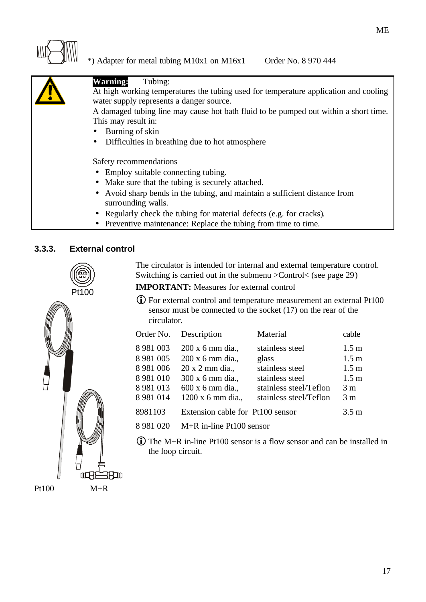

### \*) Adapter for metal tubing M10x1 on M16x1 Order No. 8 970 444

| <b>Warning:</b><br>Tubing:                                                           |  |  |
|--------------------------------------------------------------------------------------|--|--|
|                                                                                      |  |  |
| At high working temperatures the tubing used for temperature application and cooling |  |  |
| water supply represents a danger source.                                             |  |  |
|                                                                                      |  |  |
| A damaged tubing line may cause hot bath fluid to be pumped out within a short time. |  |  |
| This may result in:                                                                  |  |  |
| Burning of skin<br>$\bullet$                                                         |  |  |
| Difficulties in breathing due to hot atmosphere<br>$\bullet$                         |  |  |
|                                                                                      |  |  |
| Safety recommendations                                                               |  |  |
|                                                                                      |  |  |
| • Employ suitable connecting tubing.                                                 |  |  |
| • Make sure that the tubing is securely attached.                                    |  |  |
| • Avoid sharp bends in the tubing, and maintain a sufficient distance from           |  |  |
| surrounding walls.                                                                   |  |  |
|                                                                                      |  |  |
| • Regularly check the tubing for material defects (e.g. for cracks).                 |  |  |
|                                                                                      |  |  |

• Preventive maintenance: Replace the tubing from time to time.

#### **3.3.3. External control**





The circulator is intended for internal and external temperature control. Switching is carried out in the submenu >Control< (see page 29)

**IMPORTANT:** Measures for external control

**i**) For external control and temperature measurement an external Pt100 sensor must be connected to the socket (17) on the rear of the circulator.

| Order No.                                                                                          | Description                                                                                                          | Material                                                                                                           | cable                                                                                                            |
|----------------------------------------------------------------------------------------------------|----------------------------------------------------------------------------------------------------------------------|--------------------------------------------------------------------------------------------------------------------|------------------------------------------------------------------------------------------------------------------|
| 8 9 8 1 0 0 3<br>8 9 8 1 0 0 5<br>8 9 8 1 0 0 6<br>8 9 8 1 0 1 0<br>8 9 8 1 0 1 3<br>8 9 8 1 0 1 4 | 200 x 6 mm dia.,<br>200 x 6 mm dia.,<br>20 x 2 mm dia.,<br>300 x 6 mm dia.,<br>600 x 6 mm dia.,<br>1200 x 6 mm dia., | stainless steel<br>glass<br>stainless steel<br>stainless steel<br>stainless steel/Teflon<br>stainless steel/Teflon | 1.5 <sub>m</sub><br>1.5 <sub>m</sub><br>1.5 <sub>m</sub><br>1.5 <sub>m</sub><br>3 <sub>m</sub><br>3 <sub>m</sub> |
| 8981103                                                                                            | Extension cable for Pt100 sensor                                                                                     |                                                                                                                    | 3.5 <sub>m</sub>                                                                                                 |
|                                                                                                    |                                                                                                                      |                                                                                                                    |                                                                                                                  |

- 8 981 020 M+R in-line Pt100 sensor
- $\overline{\mathbf{D}}$  The M+R in-line Pt100 sensor is a flow sensor and can be installed in the loop circuit.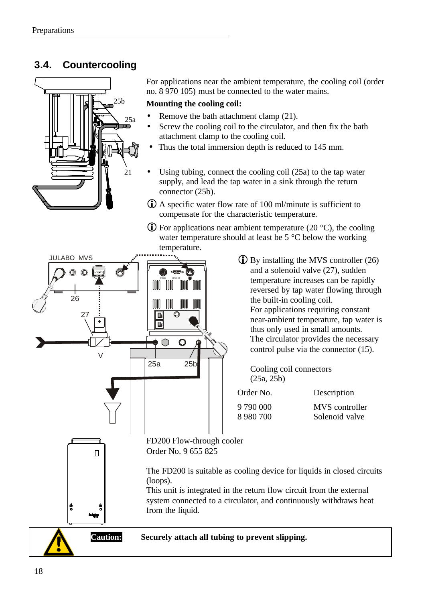### **3.4. Countercooling**



For applications near the ambient temperature, the cooling coil (order no. 8 970 105) must be connected to the water mains.

#### **Mounting the cooling coil:**

- Remove the bath attachment clamp (21).
- Screw the cooling coil to the circulator, and then fix the bath attachment clamp to the cooling coil.
- Thus the total immersion depth is reduced to 145 mm.
- Using tubing, connect the cooling coil (25a) to the tap water supply, and lead the tap water in a sink through the return connector (25b).
- $\bullet$  A specific water flow rate of 100 ml/minute is sufficient to compensate for the characteristic temperature.
- $\bullet$  For applications near ambient temperature (20 °C), the cooling water temperature should at least be 5 °C below the working temperature.



 $\bullet$  By installing the MVS controller (26) and a solenoid valve (27), sudden temperature increases can be rapidly reversed by tap water flowing through the built-in cooling coil. For applications requiring constant near-ambient temperature, tap water is thus only used in small amounts. The circulator provides the necessary control pulse via the connector (15).

Cooling coil connectors (25a, 25b)

| Order No. | Description    |
|-----------|----------------|
| 9 790 000 | MVS controller |
| 8 980 700 | Solenoid valve |

The FD200 is suitable as cooling device for liquids in closed circuits

This unit is integrated in the return flow circuit from the external system connected to a circulator, and continuously withdraws heat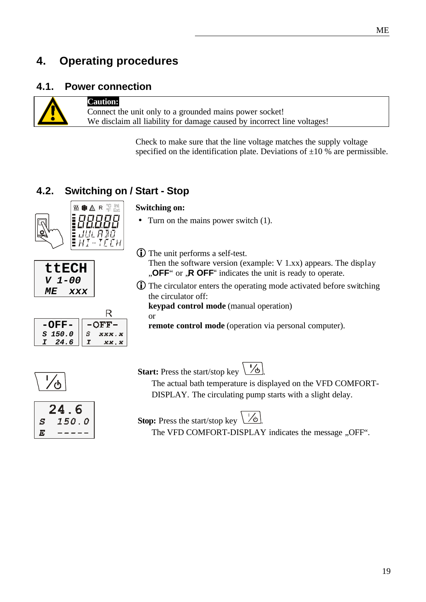### **4. Operating procedures**

#### **4.1. Power connection**

#### **Caution:**

Connect the unit only to a grounded mains power socket! We disclaim all liability for damage caused by incorrect line voltages!

> Check to make sure that the line voltage matches the supply voltage specified on the identification plate. Deviations of  $\pm 10$  % are permissible.

### **4.2. Switching on / Start - Stop**

災 ● △ R ¥ lit

 $E_{H{\it I}}^{L\prime L}$  and  $E_{L\prime H}^{R\prime}$ 

R  $-OFF-$ 

xxx.x

xx.x

Ś

 $\overline{\mathbf{I}}$ 

### **Switching on:**

- Turn on the mains power switch (1).
- **i**) The unit performs a self-test.

Then the software version (example: V 1.xx) appears. The display **"OFF**" or **"R OFF**" indicates the unit is ready to operate.

**i**) The circulator enters the operating mode activated before switching the circulator off:

**keypad control mode** (manual operation)

or

**remote control mode** (operation via personal computer).



**-OFF-***S 150.0 I 24.6*

24.6  $150.0$  $\boldsymbol{S}$  $\boldsymbol{E}$ 

**ttECH** *V 1-00 ME xxx*

**Start:** Press the start/stop key  $\boxed{1/6}$ 

The actual bath temperature is displayed on the VFD COMFORT-DISPLAY. The circulating pump starts with a slight delay.

**Stop:** Press the start/stop key  $\mathcal{L}$ 

The VFD COMFORT-DISPLAY indicates the message "OFF".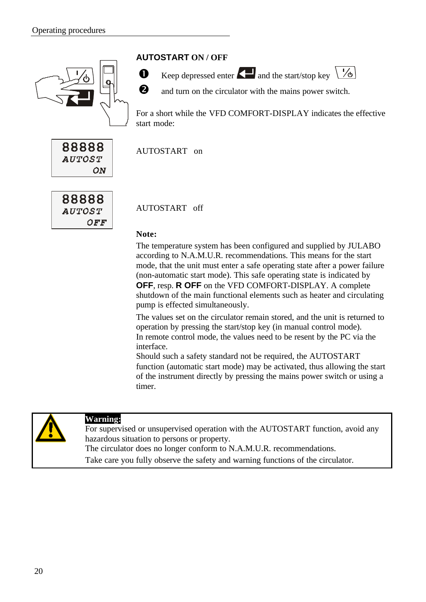

#### **AUTOSTART ON / OFF**



 $\bullet$  Keep depressed enter **a**nd the start/stop key  $\frac{1}{6}$ 



**Q** and turn on the circulator with the mains power switch.

For a short while the VFD COMFORT-DISPLAY indicates the effective start mode:

88888 **AUTOST** ΟN

88888 **AUTOST**  $OFF$ 

AUTOSTART off

AUTOSTART on

#### **Note:**

The temperature system has been configured and supplied by JULABO according to N.A.M.U.R. recommendations. This means for the start mode, that the unit must enter a safe operating state after a power failure (non-automatic start mode). This safe operating state is indicated by **OFF**, resp. **R OFF** on the VFD COMFORT-DISPLAY. A complete shutdown of the main functional elements such as heater and circulating pump is effected simultaneously.

The values set on the circulator remain stored, and the unit is returned to operation by pressing the start/stop key (in manual control mode). In remote control mode, the values need to be resent by the PC via the interface.

Should such a safety standard not be required, the AUTOSTART function (automatic start mode) may be activated, thus allowing the start of the instrument directly by pressing the mains power switch or using a timer.



#### **Warning:**

For supervised or unsupervised operation with the AUTOSTART function, avoid any hazardous situation to persons or property.

The circulator does no longer conform to N.A.M.U.R. recommendations.

Take care you fully observe the safety and warning functions of the circulator.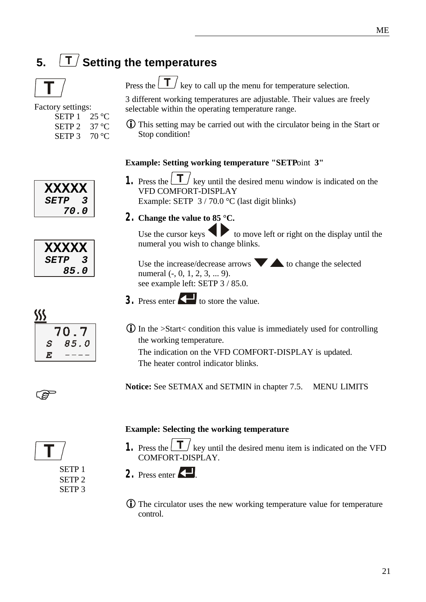# **5.**  $\boxed{\mathsf{T}}$  Setting the temperatures



| <b>Factory settings:</b>                   |       |
|--------------------------------------------|-------|
| SETP $1 \quad 25 \text{ }^{\circ}\text{C}$ |       |
| SETP <sub>2</sub>                          | 37 °C |
| SETP <sub>3</sub>                          | 70 °C |

3 different working temperatures are adjustable. Their values are freely selectable within the operating temperature range.

Press the  $\boxed{\mathbf{T}}$  key to call up the menu for temperature selection.

 $\ddot{\mathbf{U}}$  This setting may be carried out with the circulator being in the Start or Stop condition!

#### **Example: Setting working temperature "SETP**oint **3"**

- **1.** Press the  $\boxed{\mathbf{T}}$  key until the desired menu window is indicated on the VFD COMFORT-DISPLAY Example: SETP 3 / 70.0 °C (last digit blinks)
- **2. Change the value to 85 °C.**

Use the cursor keys  $\blacklozenge$  to move left or right on the display until the numeral you wish to change blinks.

Use the increase/decrease arrows  $\blacktriangledown$  to change the selected numeral (-, 0, 1, 2, 3, ... 9). see example left: SETP 3 / 85.0.

- **3.** Press enter  $\left\{ \blacksquare \right\}$  to store the value.
- $\bf{D}$  In the >Start< condition this value is immediately used for controlling the working temperature.

The indication on the VFD COMFORT-DISPLAY is updated. The heater control indicator blinks.

**Notice:** See SETMAX and SETMIN in chapter 7.5. MENU LIMITS

#### **Example: Selecting the working temperature**

**1.** Press the  $\boxed{\mathbf{I}}$  key until the desired menu item is indicated on the VFD COMFORT-DISPLAY.

2. Press enter

**I**) The circulator uses the new working temperature value for temperature control.

 $$S$ 70.7  $85.0$ S  $\overline{E}$ 

**FOR** 



SETP 1 SETP 2 SETP 3

| <b>XXXXX</b>       |   |
|--------------------|---|
| <i><b>SETP</b></i> | 3 |
| 70.0               |   |
|                    |   |

| XXXXX              |   |
|--------------------|---|
| <i><b>SETP</b></i> | 3 |
| 85.0               |   |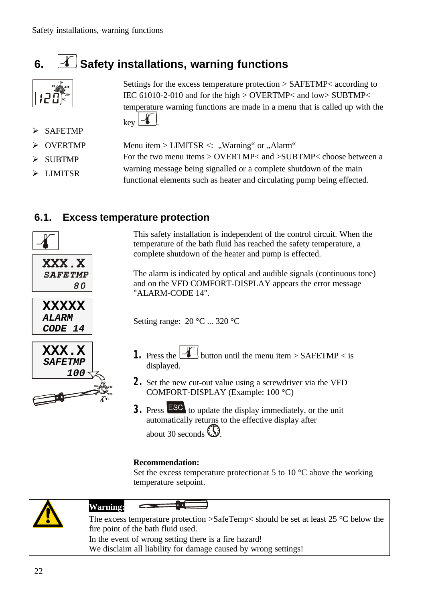### **6.**  $\boxed{4}$  Safety installations, warning functions



**SAFETMP** 

**OVERTMP** Menu item >  $LIMITSR \lt:$  "Warning" or "Alarm"

 $key$   $\frac{f}{f}$ 

**SUBTMP**  $\triangleright$  LIMITSR For the two menu items > OVERTMP< and >SUBTMP< choose between a warning message being signalled or a complete shutdown of the main functional elements such as heater and circulating pump being effected.

### **6.1. Excess temperature protection**



This safety installation is independent of the control circuit. When the temperature of the bath fluid has reached the safety temperature, a complete shutdown of the heater and pump is effected.

Settings for the excess temperature protection > SAFETMP< according to IEC 61010-2-010 and for the high > OVERTMP< and low> SUBTMP< temperature warning functions are made in a menu that is called up with the

The alarm is indicated by optical and audible signals (continuous tone) and on the VFD COMFORT-DISPLAY appears the error message "ALARM-CODE 14".

Setting range: 20 °C ... 320 °C

- **1.** Press the **following** button until the menu item > SAFETMP < is displayed.
- **2.** Set the new cut-out value using a screwdriver via the VFD COMFORT-DISPLAY (Example: 100 °C)
- **3.** Press **ESC** to update the display immediately, or the unit automatically returns to the effective display after about 30 seconds  $\mathbb{C}$ .

#### **Recommendation:**

Set the excess temperature protection at 5 to 10  $^{\circ}$ C above the working temperature setpoint.



#### **Warning:**

**°C**°C

**40**

**240 0 320**

The excess temperature protection >SafeTemp< should be set at least 25 °C below the fire point of the bath fluid used. In the event of wrong setting there is a fire hazard! We disclaim all liability for damage caused by wrong settings!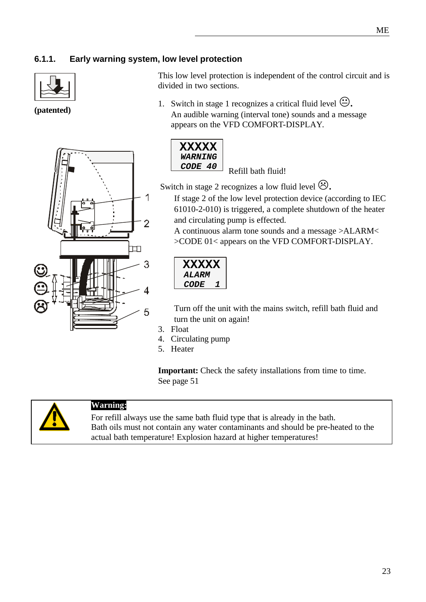#### **6.1.1. Early warning system, low level protection**



**(patented)**



This low level protection is independent of the control circuit and is divided in two sections.

1. Switch in stage 1 recognizes a critical fluid level  $\ddot{\leftrightarrow}$ . An audible warning (interval tone) sounds and a message appears on the VFD COMFORT-DISPLAY.



*CODE 40* Refill bath fluid!

Switch in stage 2 recognizes a low fluid level  $\odot$ .

If stage 2 of the low level protection device (according to IEC 61010-2-010) is triggered, a complete shutdown of the heater and circulating pump is effected.

A continuous alarm tone sounds and a message >ALARM< >CODE 01< appears on the VFD COMFORT-DISPLAY.

| XXXXX               |   |  |
|---------------------|---|--|
| <i><b>ALARM</b></i> |   |  |
| <i>CODE</i>         | 7 |  |
|                     |   |  |

Turn off the unit with the mains switch, refill bath fluid and turn the unit on again!

- 3. Float
- 4. Circulating pump
- 5. Heater

**Important:** Check the safety installations from time to time. See page 51



#### **Warning:**

For refill always use the same bath fluid type that is already in the bath. Bath oils must not contain any water contaminants and should be pre-heated to the actual bath temperature! Explosion hazard at higher temperatures!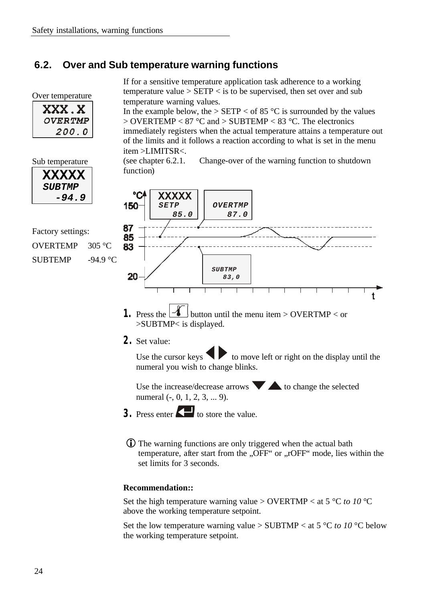### **6.2. Over and Sub temperature warning functions**

function)

| Over temperature |  |
|------------------|--|
| XXX. X           |  |
| <b>OVERTMP</b>   |  |
| 200.0            |  |

If for a sensitive temperature application task adherence to a working temperature value  $>$  SETP  $<$  is to be supervised, then set over and sub temperature warning values.

In the example below, the  $>$  SETP  $<$  of 85 °C is surrounded by the values  $>$  OVERTEMP < 87 °C and > SUBTEMP < 83 °C. The electronics immediately registers when the actual temperature attains a temperature out of the limits and it follows a reaction according to what is set in the menu item >LIMITSR<.

(see chapter 6.2.1. Change-over of the warning function to shutdown

Sub temperature

| <b>XXXXX</b>  |
|---------------|
| <b>SUBTMP</b> |
| -94.9         |

| Factory settings:        |            |
|--------------------------|------------|
| OVERTEMP $305 \degree C$ |            |
| <b>SUBTEMP</b>           | $-94.9 °C$ |

°C **XXXXX** 150 *SETP OVERTMP*   *85.0 87.0* 87 85 83 *SUBTMP* 20  *83,0*

- **1.** Press the **1** button until the menu item > OVERTMP < or >SUBTMP< is displayed.
- **2.** Set value:

Use the cursor keys  $\bullet$  to move left or right on the display until the numeral you wish to change blinks.

Use the increase/decrease arrows  $\blacktriangledown$  to change the selected numeral (-, 0, 1, 2, 3, ... 9).

- **3.** Press enter  $\left\{ \blacksquare \right\}$  to store the value.
	- **i**) The warning functions are only triggered when the actual bath temperature, after start from the "OFF" or "rOFF" mode, lies within the set limits for 3 seconds.

#### **Recommendation::**

Set the high temperature warning value > OVERTMP < at 5 °C *to 10* °C above the working temperature setpoint.

Set the low temperature warning value  $>$  SUBTMP  $<$  at 5 °C *to 10* °C below the working temperature setpoint.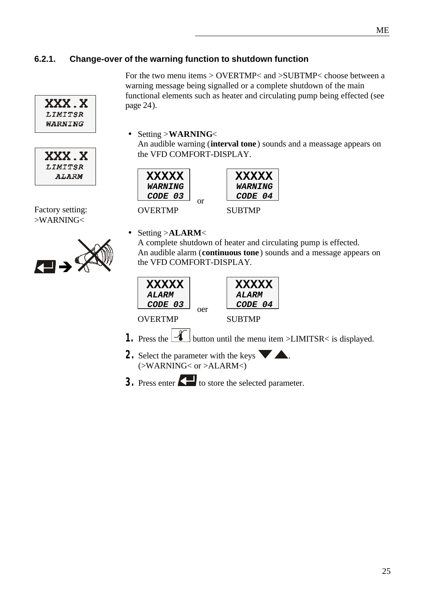#### **6.2.1. Change-over of the warning function to shutdown function**





Factory setting: >WARNING<



For the two menu items > OVERTMP< and >SUBTMP< choose between a warning message being signalled or a complete shutdown of the main functional elements such as heater and circulating pump being effected (see page 24).

• Setting >**WARNING**<

An audible warning (**interval tone** ) sounds and a meassage appears on the VFD COMFORT-DISPLAY.



• Setting >**ALARM**<

A complete shutdown of heater and circulating pump is effected. An audible alarm (**continuous tone** ) sounds and a message appears on the VFD COMFORT-DISPLAY.



- 
- **2.** Select the parameter with the keys  $\blacksquare$ . (>WARNING< or >ALARM<)
- **3.** Press enter  $\left\{ \right. \right\}$  to store the selected parameter.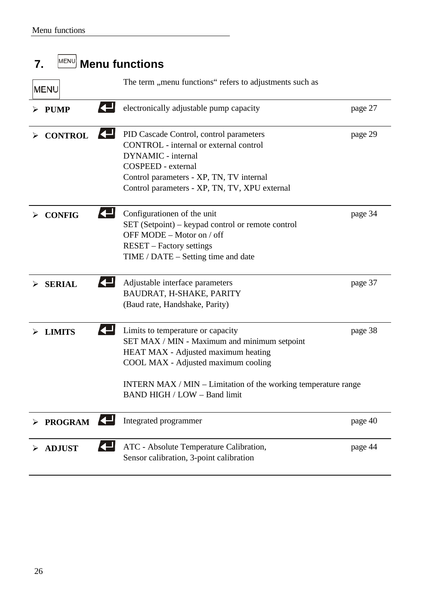| MENU<br>7.     | <b>Menu functions</b>                                                                                                                                                                                                                                             |         |
|----------------|-------------------------------------------------------------------------------------------------------------------------------------------------------------------------------------------------------------------------------------------------------------------|---------|
| <b>MENU</b>    | The term "menu functions" refers to adjustments such as                                                                                                                                                                                                           |         |
| <b>PUMP</b>    | electronically adjustable pump capacity                                                                                                                                                                                                                           | page 27 |
| <b>CONTROL</b> | PID Cascade Control, control parameters<br>CONTROL - internal or external control<br><b>DYNAMIC</b> - internal<br>COSPEED - external<br>Control parameters - XP, TN, TV internal<br>Control parameters - XP, TN, TV, XPU external                                 | page 29 |
| <b>CONFIG</b>  | Configurationen of the unit<br>SET (Setpoint) – keypad control or remote control<br>OFF MODE – Motor on / off<br><b>RESET</b> – Factory settings<br>$TIME / DATE - Setting time and date$                                                                         | page 34 |
| <b>SERIAL</b>  | Adjustable interface parameters<br>BAUDRAT, H-SHAKE, PARITY<br>(Baud rate, Handshake, Parity)                                                                                                                                                                     | page 37 |
| <b>LIMITS</b>  | Limits to temperature or capacity<br>SET MAX / MIN - Maximum and minimum setpoint<br>HEAT MAX - Adjusted maximum heating<br>COOL MAX - Adjusted maximum cooling<br>INTERN MAX / MIN - Limitation of the working temperature range<br>BAND HIGH / LOW - Band limit | page 38 |
| <b>PROGRAM</b> | Integrated programmer                                                                                                                                                                                                                                             | page 40 |
| <b>ADJUST</b>  | ATC - Absolute Temperature Calibration,<br>Sensor calibration, 3-point calibration                                                                                                                                                                                | page 44 |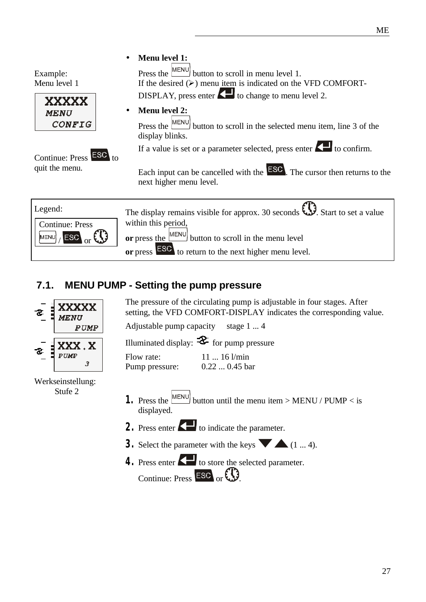Example: Menu level 1





• **Menu level 1:**

Press the  $\sqrt{\text{MENU}}$  button to scroll in menu level 1. If the desired  $(\triangleright)$  menu item is indicated on the VFD COMFORT-DISPLAY, press enter  $\Box$  to change to menu level 2.

• **Menu level 2:**

Press the MENU button to scroll in the selected menu item, line 3 of the display blinks.

If a value is set or a parameter selected, press enter  $\Box$  to confirm.

Each input can be cancelled with the  $\text{ESC}$ . The cursor then returns to the next higher menu level.



### **7.1. MENU PUMP - Setting the pump pressure**



Werkseinstellung: Stufe 2

The pressure of the circulating pump is adjustable in four stages. After setting, the VFD COMFORT-DISPLAY indicates the corresponding value.

Adjustable pump capacity stage 1 ... 4

Illuminated display:  $\mathcal{Z}$  for pump pressure

| Flow rate:     | $1116$ l/min   |
|----------------|----------------|
| Pump pressure: | $0.220.45$ bar |

- **1.** Press the  $\frac{MENU}{NENU}$  button until the menu item > MENU / PUMP < is displayed.
- **2.** Press enter **the indicate the parameter.**
- **3.** Select the parameter with the keys  $(1 \dots 4)$ .
- **4.** Press enter **the selected parameter.** Continue: Press  $ESO<sub>or</sub>(1)$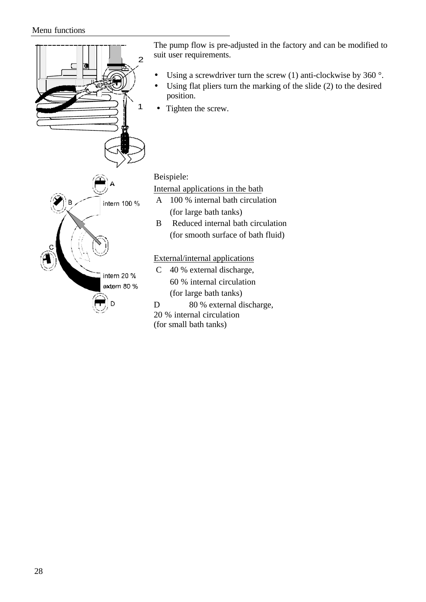#### Menu functions



(for small bath tanks)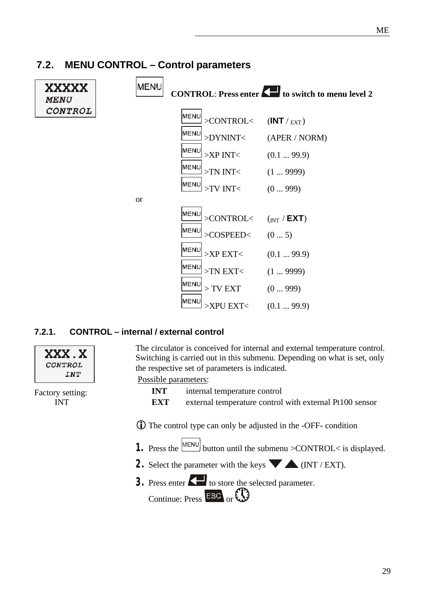#### **MENU XXXXX CONTROL:** Press enter **the switch to menu level 2 MENU** CONTROL MENL  $>$ CONTROL $<$  (INT /  $_{\text{EXT}}$ ) IMENL >DYNINT< (APER / NORM) MENL  $>XP$  INT $<$  (0.1 ... 99.9) MENU >TN INT< (1 ... 9999) lmEN⊔  $-TV INT <$   $(0...999)$ or MENU >CONTROL< (INT / **EXT**) MENU  $SCOSPEED<$   $(0 \dots 5)$ MENU >XP EXT< (0.1 ... 99.9) MENL  $-$ TN EXT $<$   $(1 \dots 9999)$ lmEN⊔  $> TV$  EXT  $(0...999)$ MENU >XPU EXT< (0.1 ... 99.9)

### **7.2. MENU CONTROL – Control parameters**

### **7.2.1. CONTROL – internal / external control**

Factory setting: INT

XXX . X CONTROL INT

The circulator is conceived for internal and external temperature control. Switching is carried out in this submenu. Depending on what is set, only the respective set of parameters is indicated.

Possible parameters:

**INT** internal temperature control **EXT** external temperature control with external Pt100 sensor

**ID** The control type can only be adjusted in the -OFF- condition

- **1.** Press the  $\boxed{\text{MEM}}$  button until the submenu >CONTROL< is displayed.
- **2.** Select the parameter with the keys  $\blacktriangledown$   $\blacktriangle$  (INT / EXT).
- **3.** Press enter  $\left\{ \right. \right\}$  to store the selected parameter.

Continue: Press  $ESC$  or  $CD$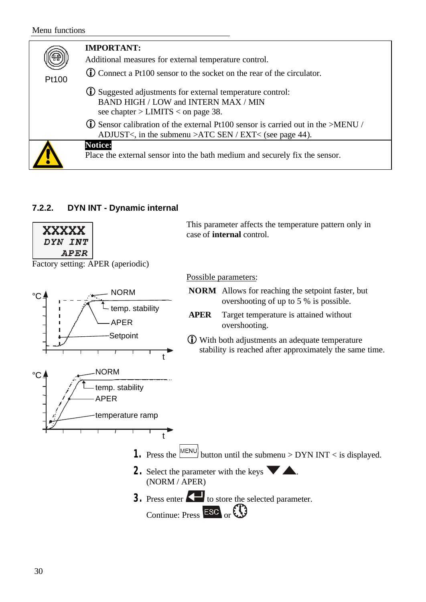| Pt100 | <b>IMPORTANT:</b><br>Additional measures for external temperature control.<br><b>C</b> Connect a Pt100 sensor to the socket on the rear of the circulator. |
|-------|------------------------------------------------------------------------------------------------------------------------------------------------------------|
|       | (i) Suggested adjustments for external temperature control:<br>BAND HIGH / LOW and INTERN MAX / MIN<br>see chapter $>$ LIMITS $<$ on page 38.              |
|       | $\bullet$ Sensor calibration of the external Pt100 sensor is carried out in the >MENU /<br>ADJUST<, in the submenu > ATC SEN / EXT< (see page 44).         |
|       | <b>Notice:</b><br>Place the external sensor into the bath medium and securely fix the sensor.                                                              |

#### **7.2.2. DYN INT - Dynamic internal**



Factory setting: APER (aperiodic)





This parameter affects the temperature pattern only in case of **internal** control.

#### Possible parameters:

- **NORM** Allows for reaching the setpoint faster, but overshooting of up to 5 % is possible.
- **APER** Target temperature is attained without overshooting.
- iWith both adjustments an adequate temperature stability is reached after approximately the same time.

- **1.** Press the  $\boxed{\text{MEM}}$  button until the submenu > DYN INT < is displayed.
- **2.** Select the parameter with the keys  $\blacktriangledown$ (NORM / APER)

t

**3.** Press enter **the selected parameter.** Continue: Press  $\overline{\text{ESC}}$  or  $\overline{\text{CD}}$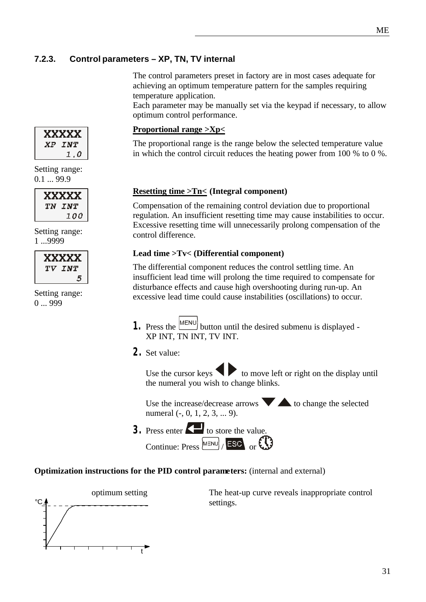#### **7.2.3. Control parameters – XP, TN, TV internal**

The control parameters preset in factory are in most cases adequate for achieving an optimum temperature pattern for the samples requiring temperature application.

Each parameter may be manually set via the keypad if necessary, to allow optimum control performance.

#### **Proportional range >Xp<**

The proportional range is the range below the selected temperature value in which the control circuit reduces the heating power from 100 % to 0 %.

#### **Resetting time >Tn< (Integral component)**

Compensation of the remaining control deviation due to proportional regulation. An insufficient resetting time may cause instabilities to occur. Excessive resetting time will unnecessarily prolong compensation of the control difference.

#### **Lead time >Tv< (Differential component)**

The differential component reduces the control settling time. An insufficient lead time will prolong the time required to compensate for disturbance effects and cause high overshooting during run-up. An excessive lead time could cause instabilities (oscillations) to occur.

- **1.** Press the  $\boxed{\text{MENU}}$  button until the desired submenu is displayed -XP INT, TN INT, TV INT.
- **2.** Set value:

Use the cursor keys  $\blacklozenge$  to move left or right on the display until the numeral you wish to change blinks.

Use the increase/decrease arrows  $\blacktriangleright$  to change the selected numeral (-, 0, 1, 2, 3, ... 9).

**3.** Press enter **the value.** Continue: Press  $\boxed{\text{MENU}}$  / ESC or  $\bigodot$ 

#### **Optimization instructions for the PID control parameters:** (internal and external)



The heat-up curve reveals inappropriate control settings.

|                | 1.0 |
|----------------|-----|
| Setting range: |     |

XXXXX XP INT

 $0.1 \dots 99.9$ 

| <b>XXXXX</b> |
|--------------|
| TN INT       |
| <i>100</i>   |

Setting range: 1 ...9999

| <b>XXXXX</b> |
|--------------|
| TV INT       |
| Õ.           |

Setting range: 0 ... 999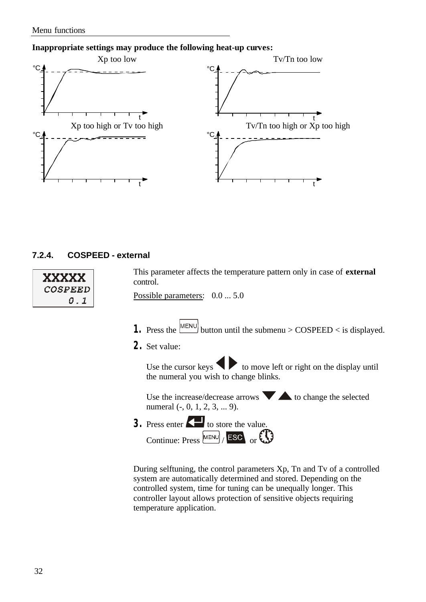#### **Inappropriate settings may produce the following heat-up curves:**



#### **7.2.4. COSPEED - external**

| XXXXX          |  |
|----------------|--|
| <i>COSPEED</i> |  |
| O.I            |  |

This parameter affects the temperature pattern only in case of **external** control.

Possible parameters:  $0.0 \dots 5.0$ 

- **1.** Press the  $\boxed{\text{MENU}}$  button until the submenu > COSPEED < is displayed.
- **2.** Set value:

Use the cursor keys  $\bullet$  to move left or right on the display until the numeral you wish to change blinks.

Use the increase/decrease arrows  $\blacktriangledown$  to change the selected numeral (-, 0, 1, 2, 3, ... 9).

**3.** Press enter **the value.** Continue: Press MENU / ESC or

During selftuning, the control parameters Xp, Tn and Tv of a controlled system are automatically determined and stored. Depending on the controlled system, time for tuning can be unequally longer. This controller layout allows protection of sensitive objects requiring temperature application.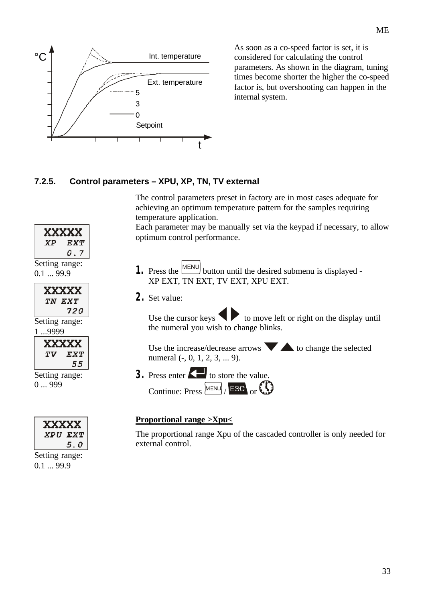

As soon as a co-speed factor is set, it is considered for calculating the control parameters. As shown in the diagram, tuning times become shorter the higher the co-speed factor is, but overshooting can happen in the internal system.

#### **7.2.5. Control parameters – XPU, XP, TN, TV external**

The control parameters preset in factory are in most cases adequate for achieving an optimum temperature pattern for the samples requiring temperature application.

Each parameter may be manually set via the keypad if necessary, to allow optimum control performance.

- **1.** Press the  $\boxed{\text{MENU}}$  button until the desired submenu is displayed -XP EXT, TN EXT, TV EXT, XPU EXT.
- **2.** Set value:

Use the cursor keys  $\bullet$  to move left or right on the display until the numeral you wish to change blinks.

Use the increase/decrease arrows  $\blacktriangledown$  to change the selected numeral (-, 0, 1, 2, 3, ... 9).

**3.** Press enter  $\left\{ \right. \right\}$  to store the value. Continue: Press  $\boxed{\text{MENU}}$  ESC or  $\bigodot$ 

#### **Proportional range >Xpu<**

The proportional range Xpu of the cascaded controller is only needed for external control.





Setting range: 0.1 ... 99.9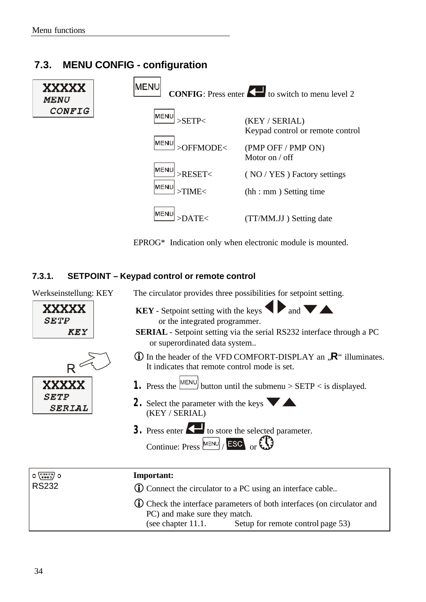### **7.3. MENU CONFIG - configuration**



EPROG\* Indication only when electronic module is mounted.

#### **7.3.1. SETPOINT – Keypad control or remote control**

| Werkseinstellung: KEY                           | The circulator provides three possibilities for setpoint setting.                                                                                                                                                                                                                                                                        |
|-------------------------------------------------|------------------------------------------------------------------------------------------------------------------------------------------------------------------------------------------------------------------------------------------------------------------------------------------------------------------------------------------|
| XXXXXXX<br><i><b>SETP</b></i><br>KEY            | <b>KEY</b> - Setpoint setting with the keys $\blacklozenge$ and $\blacktriangleright$ and $\blacktriangleright$<br>or the integrated programmer.<br><b>SERIAL</b> - Setpoint setting via the serial RS232 interface through a PC<br>or superordinated data system                                                                        |
|                                                 | $\bullet$ In the header of the VFD COMFORT-DISPLAY an $\mathbb{R}^n$ illuminates.<br>It indicates that remote control mode is set.                                                                                                                                                                                                       |
| <b>XXXXX</b><br><i>SETP</i><br>SERIAL           | 1. Press the $\frac{\text{MEMU}}{\text{H}\cdot\text{H}}$ button until the submenu > SETP < is displayed.<br>2. Select the parameter with the keys $\blacktriangledown$<br>(KEY / SERIAL)<br>3. Press enter $\left\langle \right\rangle$ to store the selected parameter.<br>Continue: Press $\left[\text{MENU}\right]$ ESC or $\bigodot$ |
| $O\left(\frac{1}{10000}\right)$<br><b>RS232</b> | <b>Important:</b><br>(i) Connect the circulator to a PC using an interface cable                                                                                                                                                                                                                                                         |
|                                                 | <b>(i)</b> Check the interface parameters of both interfaces (on circulator and<br>PC) and make sure they match.<br>(see chapter 11.1.<br>Setup for remote control page 53)                                                                                                                                                              |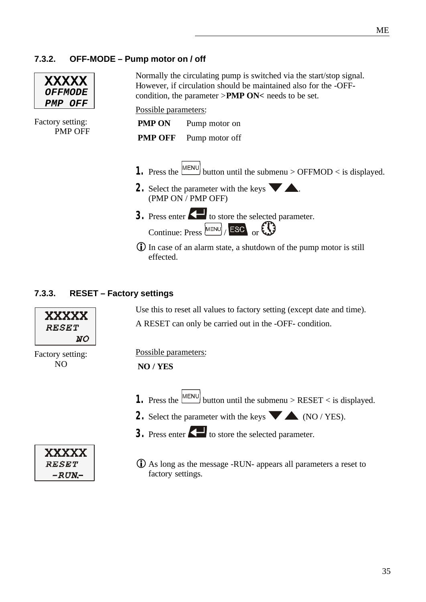#### **7.3.2. OFF-MODE – Pump motor on / off**

| <b>XXXXX</b>   |                       |
|----------------|-----------------------|
|                | <i><b>OFFMODE</b></i> |
| <i>PMP OFF</i> |                       |

Normally the circulating pump is switched via the start/stop signal. However, if circulation should be maintained also for the -OFFcondition, the parameter >**PMP ON<** needs to be set.

Possible parameters:

Factory setting: PMP OFF

| <b>PMP ON</b>  | Pump motor on  |
|----------------|----------------|
| <b>PMP OFF</b> | Pump motor off |

- **1.** Press the  $\boxed{\text{MENU}}$  button until the submenu > OFFMOD < is displayed.
- **2.** Select the parameter with the keys  $\blacksquare$ . (PMP ON / PMP OFF)
- **3.** Press enter  $\left\{ \blacksquare \right\}$  to store the selected parameter. Continue: Press  $\frac{\text{MENU}}{\text{FSC}}$  or  $\bigodot$
- iIn case of an alarm state, a shutdown of the pump motor is still effected.

#### **7.3.3. RESET – Factory settings**

Use this to reset all values to factory setting (except date and time). A RESET can only be carried out in the -OFF- condition.



Factory setting: NO

> **XXXXX RESET**  $-RUN-$

#### Possible parameters:

#### **NO / YES**

- **1.** Press the  $\boxed{\text{MEM}}$  button until the submenu > RESET < is displayed.
- **2.** Select the parameter with the keys  $\blacktriangledown$   $\blacktriangle$  (NO / YES).
- **3.** Press enter  $\left\{ \right. \right\}$  to store the selected parameter.
- $\bullet$  As long as the message -RUN- appears all parameters a reset to factory settings.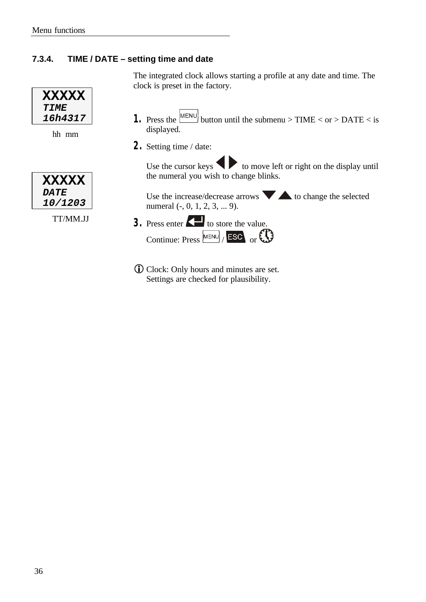### **7.3.4. TIME / DATE – setting time and date**

| <b>XXXXX</b> |
|--------------|
| TTME         |
| 16h4317      |

hh mm

| <b>XXXXX</b>   |
|----------------|
| <b>DATE</b>    |
| <i>10/1203</i> |

TT/MM.JJ

The integrated clock allows starting a profile at any date and time. The clock is preset in the factory.

- **1.** Press the  $\frac{MENU}{N}$  button until the submenu > TIME < or > DATE < is displayed.
- **2.** Setting time / date:

Use the cursor keys  $\bullet$  to move left or right on the display until the numeral you wish to change blinks.

Use the increase/decrease arrows  $\blacktriangledown$  to change the selected numeral (-, 0, 1, 2, 3, ... 9).

- **3.** Press enter **the value.** Continue: Press  $\boxed{\text{MENU}}$  / ESC or
- **iD** Clock: Only hours and minutes are set. Settings are checked for plausibility.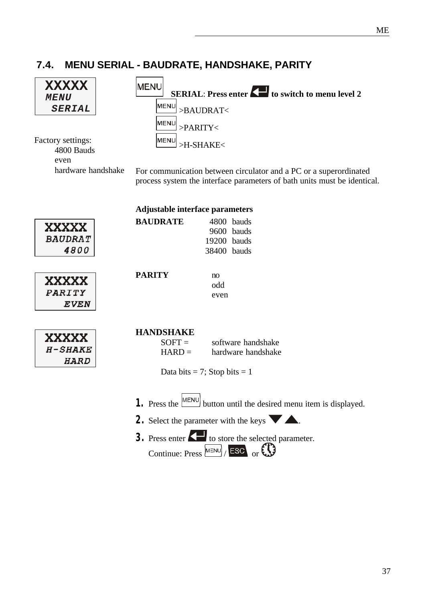### **7.4. MENU SERIAL - BAUDRATE, HANDSHAKE, PARITY**

| XXXXX<br><i><b>MENU</b></i><br><b>SERIAL</b><br>Factory settings:<br>4800 Bauds<br>even | <b>MENU</b><br><b>SERIAL: Press enter A to switch to menu level 2</b><br>MENU<br>>BAUDRAT<<br>∣MENU<br>>PARITY<<br>∣MEN⊔<br>>H-SHAKE<                                                   |
|-----------------------------------------------------------------------------------------|-----------------------------------------------------------------------------------------------------------------------------------------------------------------------------------------|
| hardware handshake                                                                      | For communication between circulator and a PC or a superordinated<br>process system the interface parameters of bath units must be identical.<br><b>Adjustable interface parameters</b> |
|                                                                                         | <b>BAUDRATE</b><br>4800 bauds                                                                                                                                                           |
| <b>XXXXX</b>                                                                            | 9600 bauds                                                                                                                                                                              |
| <b>BAUDRAT</b>                                                                          | 19200 bauds                                                                                                                                                                             |
| 4800                                                                                    | 38400 bauds                                                                                                                                                                             |
| XXXXX<br>PARITY<br><b>EVEN</b>                                                          | <b>PARITY</b><br>no<br>odd<br>even                                                                                                                                                      |
|                                                                                         | <b>HANDSHAKE</b>                                                                                                                                                                        |
| <b>XXXXX</b>                                                                            | $SOFT =$<br>software handshake                                                                                                                                                          |
| $H$ -SHAKE                                                                              | $HARD =$<br>hardware handshake                                                                                                                                                          |
| <b>HARD</b>                                                                             | Data bits = 7; Stop bits = 1                                                                                                                                                            |
|                                                                                         | 1. Press the $\boxed{\text{MENU}}$ button until the desired menu item is displayed.                                                                                                     |
|                                                                                         | 2. Select the parameter with the keys $\blacktriangleright$ $\blacktriangle$ .                                                                                                          |
|                                                                                         | 3. Press enter <b>A</b> to store the selected parameter.                                                                                                                                |
|                                                                                         | Continue: Press $^{\text{MENU}}$ Esc or $\bigcirc$                                                                                                                                      |
|                                                                                         |                                                                                                                                                                                         |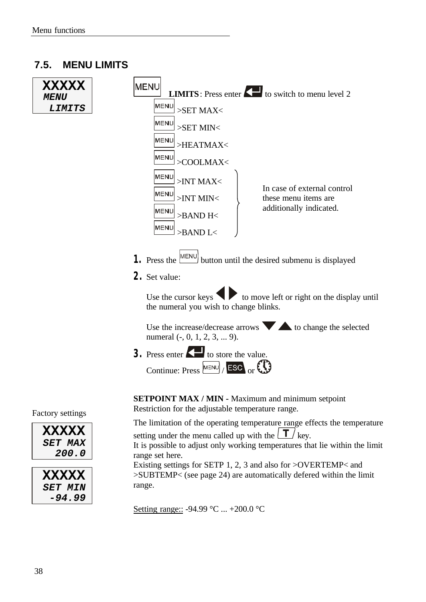#### **7.5. MENU LIMITS**



Setting range:: -94.99 °C ... +200.0 °C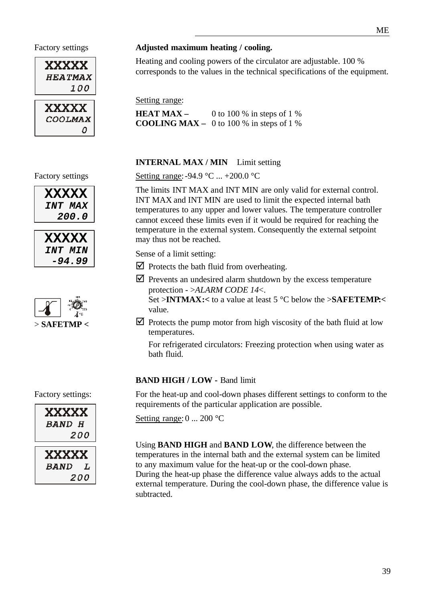



#### Factory settings **Adjusted maximum heating / cooling.**

Heating and cooling powers of the circulator are adjustable. 100 % corresponds to the values in the technical specifications of the equipment.

Setting range:

**HEAT MAX** – 0 to 100 % in steps of 1 % **COOLING MAX –** 0 to 100 % in steps of 1 %

#### **INTERNAL MAX / MIN** Limit setting

Setting range: -94.9 °C ... +200.0 °C

The limits INT MAX and INT MIN are only valid for external control. INT MAX and INT MIN are used to limit the expected internal bath temperatures to any upper and lower values. The temperature controller cannot exceed these limits even if it would be required for reaching the temperature in the external system. Consequently the external setpoint may thus not be reached.

Sense of a limit setting:

- $\triangleright$  Protects the bath fluid from overheating.
- $\triangledown$  Prevents an undesired alarm shutdown by the excess temperature protection - >*ALARM CODE 14*<.

Set >**INTMAX:<** to a value at least 5 °C below the >**SAFETEMP:<** value.

 $\Delta$  Protects the pump motor from high viscosity of the bath fluid at low temperatures.

For refrigerated circulators: Freezing protection when using water as bath fluid.

#### **BAND HIGH / LOW - Band limit**

For the heat-up and cool-down phases different settings to conform to the requirements of the particular application are possible.

Setting range: 0 ... 200 °C

Using **BAND HIGH** and **BAND LOW**, the difference between the temperatures in the internal bath and the external system can be limited to any maximum value for the heat-up or the cool-down phase. During the heat-up phase the difference value always adds to the actual external temperature. During the cool-down phase, the difference value is subtracted.

#### Factory settings

| <b>XXXXX</b>   |  |
|----------------|--|
| <i>INT MAX</i> |  |
| <i>200.0</i>   |  |





Factory settings:



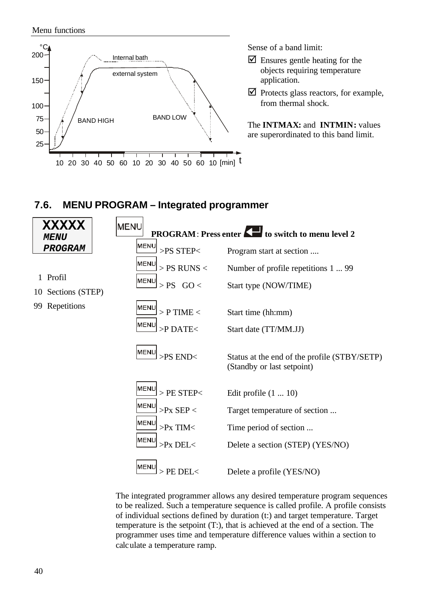Menu functions



Sense of a band limit:

- $\triangleright$  Ensures gentle heating for the objects requiring temperature application.
- $\triangledown$  Protects glass reactors, for example, from thermal shock.

The **INTMAX:** and **INTMIN:** values are superordinated to this band limit.

### **7.6. MENU PROGRAM – Integrated programmer**

| <b>XXXXX</b><br>MENU              | <b>MENU</b><br><b>PROGRAM: Press enter</b>                                                                                          | to switch to menu level 2                                                                                                                               |
|-----------------------------------|-------------------------------------------------------------------------------------------------------------------------------------|---------------------------------------------------------------------------------------------------------------------------------------------------------|
| <b>PROGRAM</b>                    | MENU<br>>PS STEP<                                                                                                                   | Program start at section                                                                                                                                |
| 1 Profil<br>Sections (STEP)<br>10 | <b>MENU</b><br>$>$ PS RUNS $<$<br><b>MENU</b><br>$>$ PS GO $<$                                                                      | Number of profile repetitions 1  99<br>Start type (NOW/TIME)                                                                                            |
| Repetitions<br>99                 | ∣MENU<br>$>$ P TIME $<$<br>lMEN⊔<br>$>$ PDATE $<$                                                                                   | Start time (hh:mm)<br>Start date (TT/MM.JJ)                                                                                                             |
|                                   | ∣MENU<br>$>$ PS END $<$                                                                                                             | Status at the end of the profile (STBY/SETP)<br>(Standby or last setpoint)                                                                              |
|                                   | MENU<br>$>$ PE STEP $<$<br>∣MEN⊔<br>$>$ Px SEP $<$<br>∣MEN⊔<br>$>$ Px TIM $<$<br>lMEN⊔<br>$>$ Px DEL $<$<br>IMENL<br>$>$ PE DEL $<$ | Edit profile $(1 \dots 10)$<br>Target temperature of section<br>Time period of section<br>Delete a section (STEP) (YES/NO)<br>Delete a profile (YES/NO) |

The integrated programmer allows any desired temperature program sequences to be realized. Such a temperature sequence is called profile. A profile consists of individual sections defined by duration (t:) and target temperature. Target temperature is the setpoint (T:), that is achieved at the end of a section. The programmer uses time and temperature difference values within a section to calculate a temperature ramp.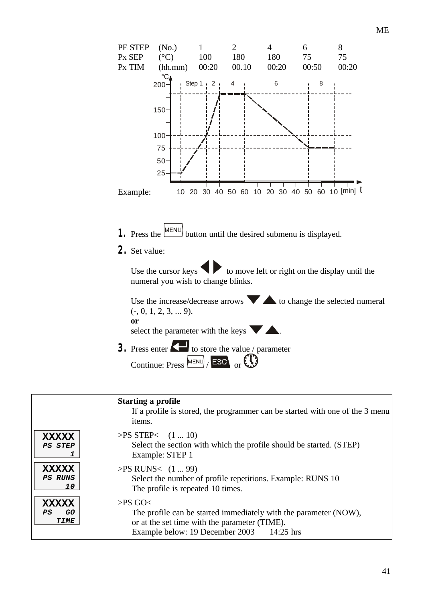

Example below: 19 December 2003 14:25 hrs

**XXXXX**

 *1*

 $PS$ 

ME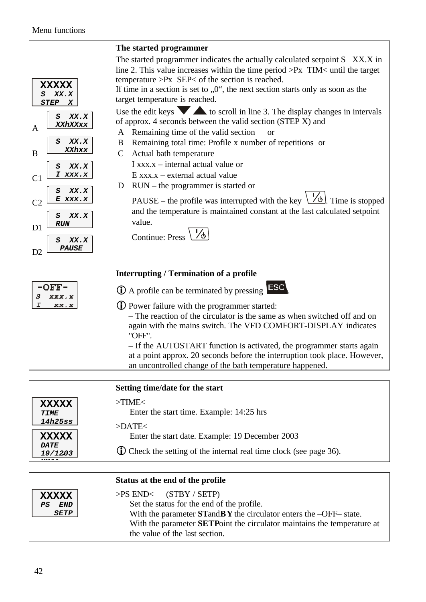| <b>XXXXX</b><br>XX.X<br>S                                                                                                                                                                                                                                                                 | The started programmer indicates the actually calculated setpoint S XX.X in<br>line 2. This value increases within the time period $> Px$ TIM< until the target<br>temperature $>Px$ SEP< of the section is reached.<br>If time in a section is set to $,0$ ", the next section starts only as soon as the<br>target temperature is reached.                                                                                                                                                                                                                                                                                                              |
|-------------------------------------------------------------------------------------------------------------------------------------------------------------------------------------------------------------------------------------------------------------------------------------------|-----------------------------------------------------------------------------------------------------------------------------------------------------------------------------------------------------------------------------------------------------------------------------------------------------------------------------------------------------------------------------------------------------------------------------------------------------------------------------------------------------------------------------------------------------------------------------------------------------------------------------------------------------------|
| <b>STEP</b><br>X<br>$\boldsymbol{S}$<br>XX.X<br>XXhXXxx<br>A<br>A<br>XX.X<br>S<br>B<br>XXhxx<br>B<br>$\mathcal{C}$<br>XX.X<br>S<br>I xxx.x<br>C <sub>1</sub><br>D<br>XX.X<br>S<br>E<br>xxx.x<br>C <sub>2</sub><br>XX.X<br>S<br><b>RUN</b><br>D1<br>XX.X<br>S<br><i><b>PAUSE</b></i><br>D2 | Use the edit keys $\blacktriangledown$ $\blacktriangle$ to scroll in line 3. The display changes in intervals<br>of approx. 4 seconds between the valid section (STEP X) and<br>Remaining time of the valid section<br><sub>or</sub><br>Remaining total time: Profile x number of repetitions or<br>Actual bath temperature<br>$I$ xxx. $x$ – internal actual value or<br>$E$ xxx.x – external actual value<br>$RUN$ – the programmer is started or<br>$\sqrt{6}$ . Time is stopped<br>PAUSE – the profile was interrupted with the key<br>and the temperature is maintained constant at the last calculated setpoint<br>value.<br><b>Continue: Press</b> |
|                                                                                                                                                                                                                                                                                           | <b>Interrupting / Termination of a profile</b>                                                                                                                                                                                                                                                                                                                                                                                                                                                                                                                                                                                                            |
| OFF.<br>S<br>XXX.X                                                                                                                                                                                                                                                                        | $\bigcirc$ A profile can be terminated by pressing <b>LESC</b>                                                                                                                                                                                                                                                                                                                                                                                                                                                                                                                                                                                            |
| I<br>XX.X                                                                                                                                                                                                                                                                                 | <b>(i)</b> Power failure with the programmer started:<br>- The reaction of the circulator is the same as when switched off and on<br>again with the mains switch. The VFD COMFORT-DISPLAY indicates<br>"OFF".<br>- If the AUTOSTART function is activated, the programmer starts again<br>at a point approx. 20 seconds before the interruption took place. However,<br>an uncontrolled change of the bath temperature happened.                                                                                                                                                                                                                          |

|                                               | Setting time/date for the start                                                                                         |
|-----------------------------------------------|-------------------------------------------------------------------------------------------------------------------------|
| <b>XXXXX</b><br>TIME<br><i>14h25ss</i>        | $>$ TIME $<$<br>Enter the start time. Example: 14:25 hrs<br>$>$ DATE $<$                                                |
| <b>XXXXX</b><br><i><b>DATE</b></i><br>19/1203 | Enter the start date. Example: 19 December 2003<br>(i) Check the setting of the internal real time clock (see page 36). |

|                                                  | Status at the end of the profile                                                                                                                                                                                                                                      |
|--------------------------------------------------|-----------------------------------------------------------------------------------------------------------------------------------------------------------------------------------------------------------------------------------------------------------------------|
| <b>XXXXX</b><br><b>END</b><br><i><b>SETP</b></i> | $> PS$ END< (STBY / SETP)<br>Set the status for the end of the profile.<br>With the parameter $STandBY$ the circulator enters the $-OFF$ -state.<br>With the parameter <b>SETP</b> oint the circulator maintains the temperature at<br>the value of the last section. |
|                                                  |                                                                                                                                                                                                                                                                       |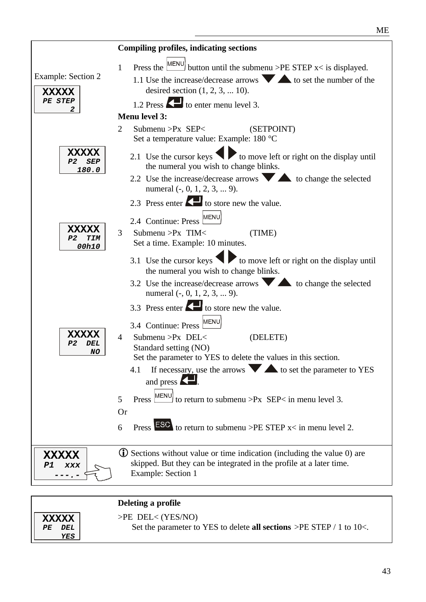|                                                           | <b>Compiling profiles, indicating sections</b>                                                                                                                                                                                                                                                                                                                                                                                                           |
|-----------------------------------------------------------|----------------------------------------------------------------------------------------------------------------------------------------------------------------------------------------------------------------------------------------------------------------------------------------------------------------------------------------------------------------------------------------------------------------------------------------------------------|
| <b>Example: Section 2</b><br><b>XXXXX</b><br>PE STEP<br>2 | Press the $\frac{\text{MEMU}}{\text{H}\cdot\text{H}\cdot\text{H}}$ button until the submenu >PE STEP x< is displayed.<br>$\mathbf{1}$<br>1.1 Use the increase/decrease arrows $\bullet$ to set the number of the<br>desired section $(1, 2, 3, \dots 10)$ .<br>1.2 Press <a>Is to enter menu level 3.<br/><b>Menu level 3:</b></a>                                                                                                                       |
| <b>XXXXX</b>                                              | Submenu > $Px$ SEP<<br>2<br>(SETPOINT)<br>Set a temperature value: Example: 180 °C                                                                                                                                                                                                                                                                                                                                                                       |
| P2<br><b>SEP</b><br>180.0                                 | 2.1 Use the cursor keys $\bigotimes$ to move left or right on the display until<br>the numeral you wish to change blinks.<br>2.2 Use the increase/decrease arrows $\blacktriangledown$ $\blacktriangle$ to change the selected<br>numeral $(-, 0, 1, 2, 3, \dots 9)$ .                                                                                                                                                                                   |
| XXXXX<br>P2<br><b>TIM</b><br>00h10                        | 2.3 Press enter <b>Co</b> to store new the value.<br>2.4 Continue: Press MENU<br>3<br>Submenu >Px TIM<<br>(TIME)<br>Set a time. Example: 10 minutes.                                                                                                                                                                                                                                                                                                     |
|                                                           | 3.1 Use the cursor keys $\blacktriangleright$ to move left or right on the display until<br>the numeral you wish to change blinks.<br>3.2 Use the increase/decrease arrows to change the selected<br>numeral $(-, 0, 1, 2, 3, \dots 9)$ .<br>3.3 Press enter $\blacktriangle$ to store new the value.<br>3.4 Continue: Press MENU                                                                                                                        |
| <b>XXXXX</b><br>DEL<br>Р2<br>NO                           | (DELETE)<br>$\overline{4}$<br>Submenu > $Px$ DEL<<br>Standard setting (NO)<br>Set the parameter to YES to delete the values in this section.<br>If necessary, use the arrows $\blacktriangledown$ $\blacktriangle$ to set the parameter to YES<br>4.1<br>and press $\mathbf{Z}$ .<br>MENU) to return to submenu >Px SEP< in menu level 3.<br>5<br>Press  <br><b>Or</b><br>Press $\overline{ESC}$ to return to submenu >PE STEP $x$ in menu level 2.<br>6 |
| <b>XXXXX</b><br>P1<br>XXX                                 | (i) Sections without value or time indication (including the value 0) are<br>skipped. But they can be integrated in the profile at a later time.<br><b>Example: Section 1</b>                                                                                                                                                                                                                                                                            |

|                                   | Deleting a profile                                                                                    |
|-----------------------------------|-------------------------------------------------------------------------------------------------------|
| <b>XXXXX</b><br>DEL<br>PF.<br>YES | $>$ PE DEL $<$ (YES/NO)<br>Set the parameter to YES to delete all sections $\geq$ PE STEP / 1 to 10<. |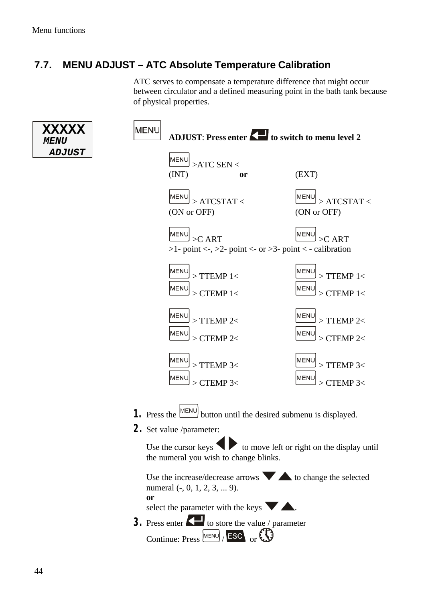### **7.7. MENU ADJUST – ATC Absolute Temperature Calibration**

ATC serves to compensate a temperature difference that might occur between circulator and a defined measuring point in the bath tank because of physical properties.

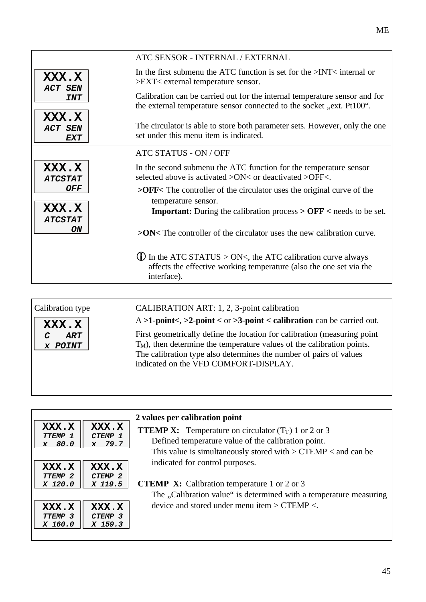|                                       | ATC SENSOR - INTERNAL / EXTERNAL                                                                                                                          |
|---------------------------------------|-----------------------------------------------------------------------------------------------------------------------------------------------------------|
| XXX.X<br><b>ACT SEN</b>               | In the first submenu the ATC function is set for the $\geq$ INT $\lt$ internal or<br>$>EXT<$ external temperature sensor.                                 |
| <b>INT</b>                            | Calibration can be carried out for the internal temperature sensor and for<br>the external temperature sensor connected to the socket "ext. Pt100".       |
| XXX.X<br><b>ACT SEN</b><br><b>EXT</b> | The circulator is able to store both parameter sets. However, only the one<br>set under this menu item is indicated.                                      |
|                                       | ATC STATUS - ON / OFF                                                                                                                                     |
| XXX.X<br><b>ATCSTAT</b>               | In the second submenu the ATC function for the temperature sensor<br>selected above is activated >ON< or deactivated >OFF<.                               |
| <b>OFF</b>                            | $>$ OFF< The controller of the circulator uses the original curve of the<br>temperature sensor.                                                           |
| XXX.X<br><b>ATCSTAT</b>               | <b>Important:</b> During the calibration process $>$ <b>OFF</b> $<$ needs to be set.                                                                      |
| ON                                    | $>ON$ The controller of the circulator uses the new calibration curve.                                                                                    |
|                                       | $\bullet$ In the ATC STATUS > ON<, the ATC calibration curve always<br>affects the effective working temperature (also the one set via the<br>interface). |
|                                       |                                                                                                                                                           |

Calibration type



CALIBRATION ART: 1, 2, 3-point calibration

A **>1-point<, >2-point <** or **>3-point < calibration** can be carried out.

First geometrically define the location for calibration (measuring point  $T_M$ ), then determine the temperature values of the calibration points. The calibration type also determines the number of pairs of values indicated on the VFD COMFORT-DISPLAY.

| XXX.X<br><b>TTEMP 1</b><br>80.0<br>$\mathbf x$ | XXX.X<br>CTEMP 1<br>$x$ 79.7           | 2 values per calibration point<br><b>TTEMP X:</b> Temperature on circulator $(T_T)$ 1 or 2 or 3<br>Defined temperature value of the calibration point.<br>This value is simultaneously stored with $>$ CTEMP $<$ and can be |
|------------------------------------------------|----------------------------------------|-----------------------------------------------------------------------------------------------------------------------------------------------------------------------------------------------------------------------------|
| XXX.X<br><b>TTEMP 2</b><br>X 120.0             | XXX.X<br><b>CTEMP 2</b><br>X 119.5     | indicated for control purposes.<br><b>CTEMP X:</b> Calibration temperature 1 or 2 or 3<br>The "Calibration value" is determined with a temperature measuring                                                                |
| XXX.X<br><b>TTEMP 3</b><br>X 160.0             | XXX.X<br>CTEMP <sub>3</sub><br>X 159.3 | device and stored under menu item $>$ CTEMP $<$ .                                                                                                                                                                           |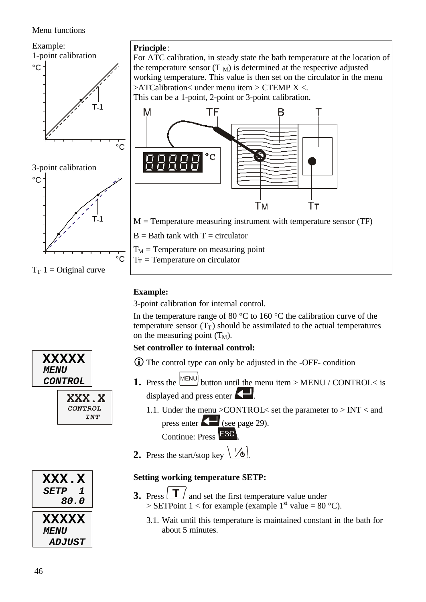#### Menu functions



#### **Example:**

3-point calibration for internal control.

In the temperature range of 80  $\degree$ C to 160  $\degree$ C the calibration curve of the temperature sensor  $(T_T)$  should be assimilated to the actual temperatures on the measuring point  $(T_M)$ .

#### **Set controller to internal control:**

- $\bullet$  The control type can only be adjusted in the -OFF- condition
- **1.** Press the  $\boxed{\text{MENU}}$  button until the menu item > MENU / CONTROL< is displayed and press enter  $\left\langle \rule{0pt}{12pt}\right\rangle$ .
	- 1.1. Under the menu >CONTROL< set the parameter to > INT < and press enter **(see page 29)**.

Continue: Press ESC

**2.** Press the start/stop key  $\boxed{\phantom{0}76}$ 

#### **Setting working temperature SETP:**

- **3.** Press  $\boxed{\mathbf{T}}$  and set the first temperature value under > SETPoint 1 < for example (example  $1<sup>st</sup>$  value = 80 °C).
	- 3.1. Wait until this temperature is maintained constant in the bath for about 5 minutes.



**XXXXX** *MENU*

 *80.0* **XXXXX** *MENU ADJUST*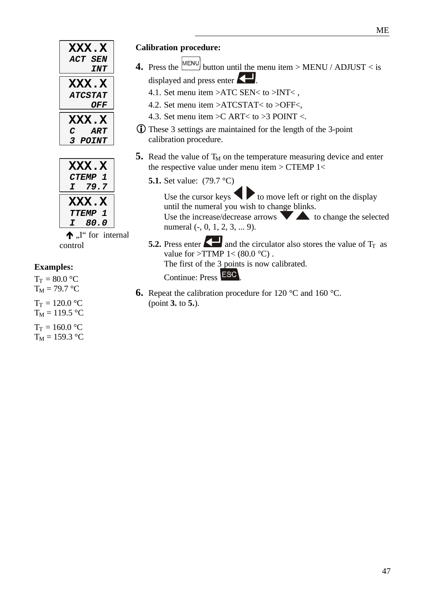| <b>XXX.X</b><br>ACT SEN  |
|--------------------------|
| INT                      |
| <b>XXX.X</b>             |
| <i><b>ATCSTAT</b></i>    |
| OFF                      |
| <b>XXX.X</b>             |
| ART<br>C                 |
| <i><b>POINT</b></i><br>3 |

|    | <b>XXX.X</b>                   |
|----|--------------------------------|
|    | <b>CTEMP</b><br>$\mathbf{I}$   |
| T. | 79.7                           |
|    |                                |
|    | <b>XXX.X</b>                   |
|    | <b>TTEMP</b><br>$\overline{1}$ |

 $\bigwedge$ ,  $\bigcup$  for internal control

#### **Examples:**

 $T_T = 80.0 °C$  $T_M = 79.7$  °C  $T_T = 120.0 °C$  $T_M = 119.5 °C$  $T_T = 160.0 °C$  $T_M = 159.3 °C$ 

#### **Calibration procedure:**

- **4.** Press the  $\begin{bmatrix} \text{MEMU} \\ \text{button until the menu item} > \text{MEMU} / \text{ADJUST} < i\text{s} \end{bmatrix}$ displayed and press enter
	- 4.1. Set menu item >ATC SEN< to >INT< ,
	- 4.2. Set menu item >ATCSTAT< to >OFF<,
	- 4.3. Set menu item >C ART< to >3 POINT <.
	- **ID** These 3 settings are maintained for the length of the 3-point calibration procedure.
- **5.** Read the value of  $T_M$  on the temperature measuring device and enter the respective value under menu item > CTEMP 1<
	- **5.1.** Set value: (79.7 °C)

Use the cursor keys  $\blacklozenge$  to move left or right on the display until the numeral you wish to change blinks. Use the increase/decrease arrows  $\blacktriangledown$  to change the selected numeral (-, 0, 1, 2, 3, ... 9).

- **5.2.** Press enter  $\left\{ \right\}$  and the circulator also stores the value of  $T_T$  as value for  $>$ TTMP 1< (80.0 °C). The first of the 3 points is now calibrated. Continue: Press ESC
	-
- **6.** Repeat the calibration procedure for 120 °C and 160 °C. (point **3.** to **5.**).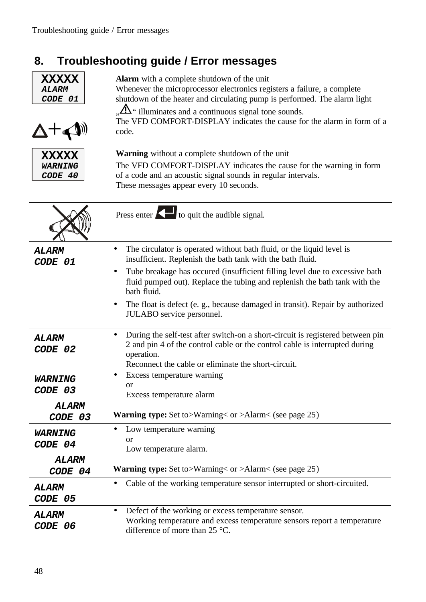## **8. Troubleshooting guide / Error messages**

| <b>XXXXX</b><br><b>ALARM</b><br>CODE 01<br>$\nabla + \triangleleft$ | <b>Alarm</b> with a complete shutdown of the unit<br>Whenever the microprocessor electronics registers a failure, a complete<br>shutdown of the heater and circulating pump is performed. The alarm light<br>$\Delta$ " illuminates and a continuous signal tone sounds.<br>The VFD COMFORT-DISPLAY indicates the cause for the alarm in form of a<br>code.                                                                               |  |  |
|---------------------------------------------------------------------|-------------------------------------------------------------------------------------------------------------------------------------------------------------------------------------------------------------------------------------------------------------------------------------------------------------------------------------------------------------------------------------------------------------------------------------------|--|--|
| <b>XXXXX</b><br><b>WARNING</b><br>CODE 40                           | <b>Warning</b> without a complete shutdown of the unit<br>The VFD COMFORT-DISPLAY indicates the cause for the warning in form<br>of a code and an acoustic signal sounds in regular intervals.<br>These messages appear every 10 seconds.                                                                                                                                                                                                 |  |  |
|                                                                     | Press enter $\left\{ \right. \right\}$ to quit the audible signal.                                                                                                                                                                                                                                                                                                                                                                        |  |  |
| <i><b>ALARM</b></i><br>CODE 01                                      | The circulator is operated without bath fluid, or the liquid level is<br>insufficient. Replenish the bath tank with the bath fluid.<br>Tube breakage has occured (insufficient filling level due to excessive bath<br>$\bullet$<br>fluid pumped out). Replace the tubing and replenish the bath tank with the<br>bath fluid.<br>The float is defect (e.g., because damaged in transit). Repair by authorized<br>JULABO service personnel. |  |  |
| <b>ALARM</b><br>CODE 02                                             | During the self-test after switch-on a short-circuit is registered between pin<br>2 and pin 4 of the control cable or the control cable is interrupted during<br>operation.<br>Reconnect the cable or eliminate the short-circuit.                                                                                                                                                                                                        |  |  |
| <i><b>WARNING</b></i><br>CODE 03<br><b>ALARM</b><br>CODE 03         | Excess temperature warning<br>$\bullet$<br><b>or</b><br>Excess temperature alarm<br><b>Warning type:</b> Set to>Warning< or >Alarm< (see page 25)                                                                                                                                                                                                                                                                                         |  |  |
| <b>WARNING</b><br>CODE 04<br>ALARM                                  | Low temperature warning<br>or<br>Low temperature alarm.                                                                                                                                                                                                                                                                                                                                                                                   |  |  |
| CODE 04                                                             | <b>Warning type:</b> Set to>Warning< or >Alarm< (see page 25)                                                                                                                                                                                                                                                                                                                                                                             |  |  |
| ALARM<br>CODE 05                                                    | Cable of the working temperature sensor interrupted or short-circuited.<br>$\bullet$                                                                                                                                                                                                                                                                                                                                                      |  |  |
| <b>ALARM</b><br>CODE 06                                             | Defect of the working or excess temperature sensor.<br>$\bullet$<br>Working temperature and excess temperature sensors report a temperature<br>difference of more than 25 °C.                                                                                                                                                                                                                                                             |  |  |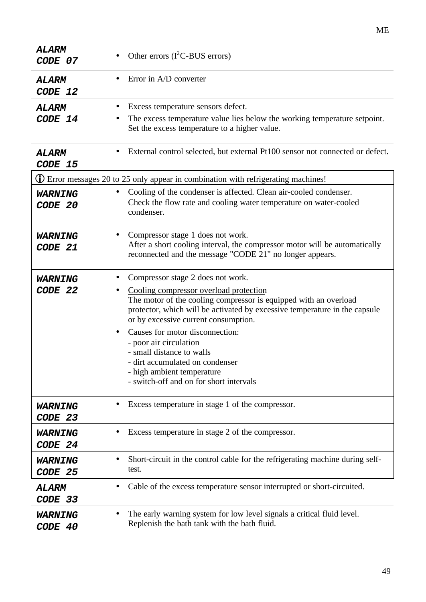| <b>ALARM</b><br>CODE 07   | Other errors $(I^2C$ -BUS errors)                                                                                                                                                                                                                                                                                                                                                                                                                                                                     |  |  |
|---------------------------|-------------------------------------------------------------------------------------------------------------------------------------------------------------------------------------------------------------------------------------------------------------------------------------------------------------------------------------------------------------------------------------------------------------------------------------------------------------------------------------------------------|--|--|
| <b>ALARM</b><br>CODE 12   | Error in A/D converter                                                                                                                                                                                                                                                                                                                                                                                                                                                                                |  |  |
| ALARM<br>CODE 14          | Excess temperature sensors defect.<br>The excess temperature value lies below the working temperature setpoint.<br>Set the excess temperature to a higher value.                                                                                                                                                                                                                                                                                                                                      |  |  |
| ALARM<br>CODE 15          | External control selected, but external Pt100 sensor not connected or defect.                                                                                                                                                                                                                                                                                                                                                                                                                         |  |  |
|                           | <b>1</b> Error messages 20 to 25 only appear in combination with refrigerating machines!                                                                                                                                                                                                                                                                                                                                                                                                              |  |  |
| <b>WARNING</b><br>CODE 20 | Cooling of the condenser is affected. Clean air-cooled condenser.<br>$\bullet$<br>Check the flow rate and cooling water temperature on water-cooled<br>condenser.                                                                                                                                                                                                                                                                                                                                     |  |  |
| <b>WARNING</b><br>CODE 21 | Compressor stage 1 does not work.<br>$\bullet$<br>After a short cooling interval, the compressor motor will be automatically<br>reconnected and the message "CODE 21" no longer appears.                                                                                                                                                                                                                                                                                                              |  |  |
| <b>WARNING</b><br>CODE 22 | Compressor stage 2 does not work.<br>$\bullet$<br>Cooling compressor overload protection<br>$\bullet$<br>The motor of the cooling compressor is equipped with an overload<br>protector, which will be activated by excessive temperature in the capsule<br>or by excessive current consumption.<br>Causes for motor disconnection:<br>- poor air circulation<br>- small distance to walls<br>- dirt accumulated on condenser<br>- high ambient temperature<br>- switch-off and on for short intervals |  |  |
| <b>WARNING</b><br>CODE 23 | Excess temperature in stage 1 of the compressor.                                                                                                                                                                                                                                                                                                                                                                                                                                                      |  |  |
| <b>WARNING</b><br>CODE 24 | Excess temperature in stage 2 of the compressor.<br>$\bullet$                                                                                                                                                                                                                                                                                                                                                                                                                                         |  |  |
| <b>WARNING</b><br>CODE 25 | Short-circuit in the control cable for the refrigerating machine during self-<br>$\bullet$<br>test.                                                                                                                                                                                                                                                                                                                                                                                                   |  |  |
| ALARM<br>CODE 33          | Cable of the excess temperature sensor interrupted or short-circuited.                                                                                                                                                                                                                                                                                                                                                                                                                                |  |  |
| <b>WARNING</b><br>CODE 40 | The early warning system for low level signals a critical fluid level.<br>$\bullet$<br>Replenish the bath tank with the bath fluid.                                                                                                                                                                                                                                                                                                                                                                   |  |  |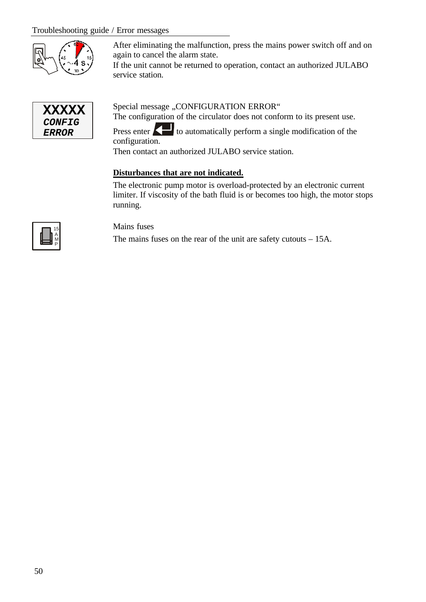#### Troubleshooting guide / Error messages



After eliminating the malfunction, press the mains power switch off and on again to cancel the alarm state.

If the unit cannot be returned to operation, contact an authorized JULABO service station.



Special message "CONFIGURATION ERROR"

The configuration of the circulator does not conform to its present use.

Press enter **the automatically perform a single modification of the** configuration.

Then contact an authorized JULABO service station.

#### **Disturbances that are not indicated.**

The electronic pump motor is overload-protected by an electronic current limiter. If viscosity of the bath fluid is or becomes too high, the motor stops running.



Mains fuses

The mains fuses on the rear of the unit are safety cutouts – 15A.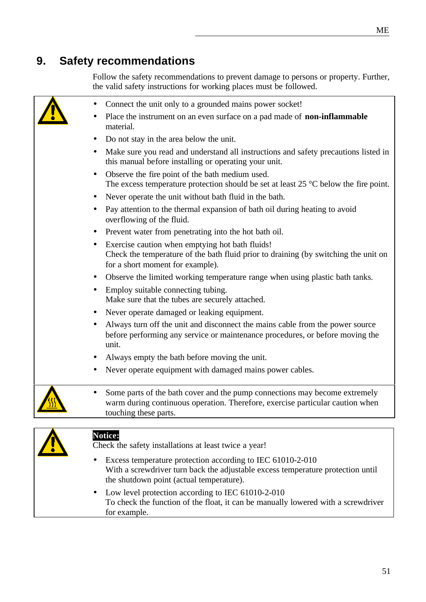### **9. Safety recommendations**

Follow the safety recommendations to prevent damage to persons or property. Further, the valid safety instructions for working places must be followed.

| Connect the unit only to a grounded mains power socket!                                                                                                                              |
|--------------------------------------------------------------------------------------------------------------------------------------------------------------------------------------|
| Place the instrument on an even surface on a pad made of non-inflammable<br>material.                                                                                                |
| Do not stay in the area below the unit.                                                                                                                                              |
| Make sure you read and understand all instructions and safety precautions listed in<br>this manual before installing or operating your unit.                                         |
| Observe the fire point of the bath medium used.<br>The excess temperature protection should be set at least $25^{\circ}$ C below the fire point.                                     |
| Never operate the unit without bath fluid in the bath.                                                                                                                               |
| Pay attention to the thermal expansion of bath oil during heating to avoid<br>overflowing of the fluid.                                                                              |
| Prevent water from penetrating into the hot bath oil.                                                                                                                                |
| Exercise caution when emptying hot bath fluids!<br>Check the temperature of the bath fluid prior to draining (by switching the unit on<br>for a short moment for example).           |
| Observe the limited working temperature range when using plastic bath tanks.                                                                                                         |
| Employ suitable connecting tubing.<br>Make sure that the tubes are securely attached.                                                                                                |
| Never operate damaged or leaking equipment.                                                                                                                                          |
| Always turn off the unit and disconnect the mains cable from the power source<br>before performing any service or maintenance procedures, or before moving the<br>unit.              |
| Always empty the bath before moving the unit.                                                                                                                                        |
| Never operate equipment with damaged mains power cables.                                                                                                                             |
| Some parts of the bath cover and the pump connections may become extremely<br>warm during continuous operation. Therefore, exercise particular caution when<br>touching these parts. |
|                                                                                                                                                                                      |



#### **Notice:**

Check the safety installations at least twice a year!

- Excess temperature protection according to IEC 61010-2-010 With a screwdriver turn back the adjustable excess temperature protection until the shutdown point (actual temperature).
- Low level protection according to IEC 61010-2-010 To check the function of the float, it can be manually lowered with a screwdriver for example.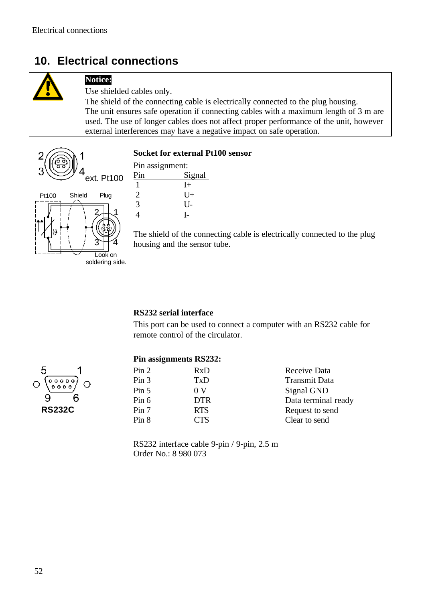### **10. Electrical connections**



#### **Notice:**

Use shielded cables only.

The shield of the connecting cable is electrically connected to the plug housing. The unit ensures safe operation if connecting cables with a maximum length of 3 m are used. The use of longer cables does not affect proper performance of the unit, however external interferences may have a negative impact on safe operation.



#### **Socket for external Pt100 sensor**

| Pin assignment: |        |  |
|-----------------|--------|--|
| Pin             | Signal |  |
|                 | $I+$   |  |
| 2               | U+     |  |
| $\mathcal{R}$   | U-     |  |
|                 |        |  |

The shield of the connecting cable is electrically connected to the plug housing and the sensor tube.

#### **RS232 serial interface**

This port can be used to connect a computer with an RS232 cable for remote control of the circulator.

#### 5  $\begin{array}{c} 0 & 0 & 0 & 0 \\ 0 & 0 & 0 & 0 & 0 \end{array}$  $\circ \circ \circ \circ$ Q 6  **RS232C**

#### **Pin assignments RS232:**

| Pin 2            | RxD            | Receive Data         |
|------------------|----------------|----------------------|
| Pin <sub>3</sub> | TxD            | <b>Transmit Data</b> |
| Pin 5            | 0 <sub>V</sub> | Signal GND           |
| Pin 6            | <b>DTR</b>     | Data terminal ready  |
| Pin 7            | <b>RTS</b>     | Request to send      |
| Pin 8            | <b>CTS</b>     | Clear to send        |
|                  |                |                      |

RS232 interface cable 9-pin / 9-pin, 2.5 m Order No.: 8 980 073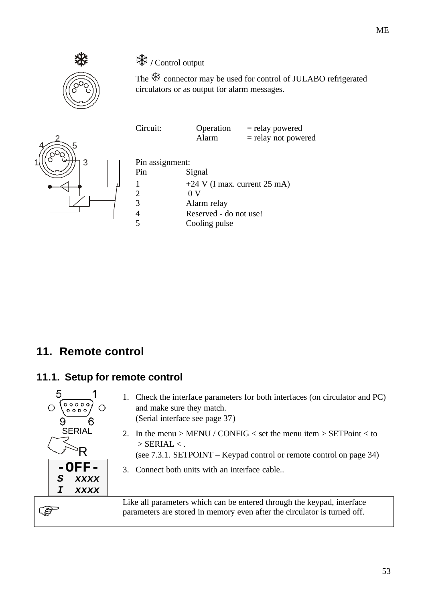

### **\*\*** / Control output

The  $\frac{4}{3}$  connector may be used for control of JULABO refrigerated circulators or as output for alarm messages.

| CIICUIL. | $QPL$ allon | $-$ ICIAY DUWEICU     |
|----------|-------------|-----------------------|
|          | Alarm       | $=$ relay not powered |
|          |             |                       |

 $Circuit:$   $Onation =$   $r_{\text{olou}}$  powered



| Pin assignment:         |                                |
|-------------------------|--------------------------------|
| Pin                     | Signal                         |
|                         | $+24$ V (I max. current 25 mA) |
| 2                       | 0 V                            |
| 3                       | Alarm relay                    |
|                         | Reserved - do not use!         |
| $\overline{\mathbf{z}}$ | Cooling pulse                  |

### **11. Remote control**

#### **11.1. Setup for remote control**



- 1. Check the interface parameters for both interfaces (on circulator and PC) and make sure they match. (Serial interface see page 37)
- 2. In the menu > MENU / CONFIG < set the menu item > SETPoint < to  $>$  SERIAL  $<$ .
	- (see 7.3.1. SETPOINT Keypad control or remote control on page 34)
- 3. Connect both units with an interface cable..

Like all parameters which can be entered through the keypad, interface parameters are stored in memory even after the circulator is turned off.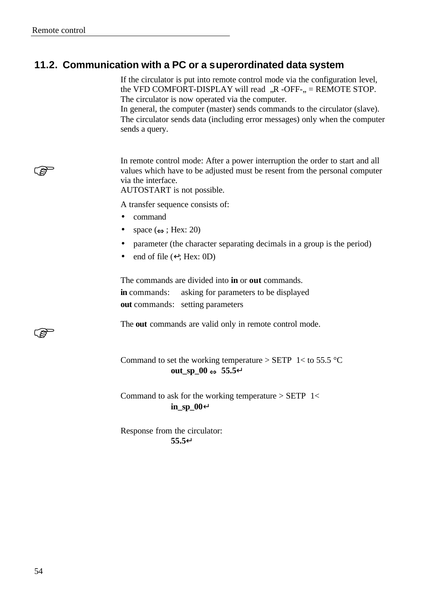(g-

**R** 

### **11.2. Communication with a PC or a superordinated data system**

If the circulator is put into remote control mode via the configuration level, the VFD COMFORT-DISPLAY will read  $R$  -OFF- $R$  = REMOTE STOP. The circulator is now operated via the computer.

In general, the computer (master) sends commands to the circulator (slave). The circulator sends data (including error messages) only when the computer sends a query.

In remote control mode: After a power interruption the order to start and all values which have to be adjusted must be resent from the personal computer via the interface.

AUTOSTART is not possible.

A transfer sequence consists of:

- command
- space  $(\Leftrightarrow; \text{Hex: } 20)$
- parameter (the character separating decimals in a group is the period)
- end of file  $(\nightharpoonup;$  Hex: 0D)

The commands are divided into **in** or **out** commands. **in** commands: asking for parameters to be displayed **out** commands: setting parameters

The **out** commands are valid only in remote control mode.

#### Command to set the working temperature  $>$  SETP 1< to 55.5 °C **out\_sp\_00 Û 55.5¿**

Command to ask for the working temperature  $>$  SETP 1< **in\_sp\_00¿**

Response from the circulator: **55.5¿**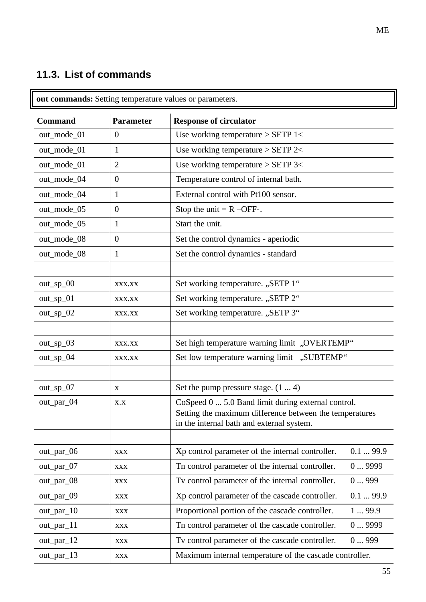### **11.3. List of commands**

| <b>Command</b> | <b>Parameter</b> | <b>Response of circulator</b>                                                                                                                              |         |
|----------------|------------------|------------------------------------------------------------------------------------------------------------------------------------------------------------|---------|
| out_mode_01    | $\overline{0}$   | Use working temperature $>$ SETP 1<                                                                                                                        |         |
| out_mode_01    | 1                | Use working temperature $>$ SETP 2 $<$                                                                                                                     |         |
| out_mode_01    | $\overline{2}$   | Use working temperature $>$ SETP 3 $<$                                                                                                                     |         |
| out_mode_04    | $\overline{0}$   | Temperature control of internal bath.                                                                                                                      |         |
| out_mode_04    | $\mathbf{1}$     | External control with Pt100 sensor.                                                                                                                        |         |
| out_mode_05    | $\overline{0}$   | Stop the unit $= R - OFF$ .                                                                                                                                |         |
| out_mode_05    | 1                | Start the unit.                                                                                                                                            |         |
| out_mode_08    | $\overline{0}$   | Set the control dynamics - aperiodic                                                                                                                       |         |
| out_mode_08    | 1                | Set the control dynamics - standard                                                                                                                        |         |
|                |                  |                                                                                                                                                            |         |
| out_sp_00      | XXX.XX           | Set working temperature. "SETP 1"                                                                                                                          |         |
| $out_sp_01$    | XXX.XX           | Set working temperature. "SETP 2"                                                                                                                          |         |
| $out_sp_02$    | XXX.XX           | Set working temperature. "SETP 3"                                                                                                                          |         |
|                |                  |                                                                                                                                                            |         |
| out_sp_03      | XXX.XX           | Set high temperature warning limit "OVERTEMP"                                                                                                              |         |
| out_sp_04      | XXX.XX           | Set low temperature warning limit "SUBTEMP"                                                                                                                |         |
| $out_sp_07$    | X                | Set the pump pressure stage. $(14)$                                                                                                                        |         |
| out_par_04     | X.X              | CoSpeed 0  5.0 Band limit during external control.<br>Setting the maximum difference between the temperatures<br>in the internal bath and external system. |         |
| out_par_06     | <b>XXX</b>       | Xp control parameter of the internal controller.                                                                                                           | 0.199.9 |
| out_par_07     | XXX              | Tn control parameter of the internal controller.                                                                                                           | 09999   |
| out_par_08     | <b>XXX</b>       | Tv control parameter of the internal controller.                                                                                                           | 0999    |
| out_par_09     | <b>XXX</b>       | Xp control parameter of the cascade controller.                                                                                                            | 0.199.9 |
| out_par_10     | <b>XXX</b>       | Proportional portion of the cascade controller.                                                                                                            | 199.9   |
| out_par_11     | <b>XXX</b>       | Tn control parameter of the cascade controller.                                                                                                            | 09999   |
| $out\_par\_12$ | <b>XXX</b>       | Tv control parameter of the cascade controller.                                                                                                            | 0999    |
| out_par_13     | <b>XXX</b>       | Maximum internal temperature of the cascade controller.                                                                                                    |         |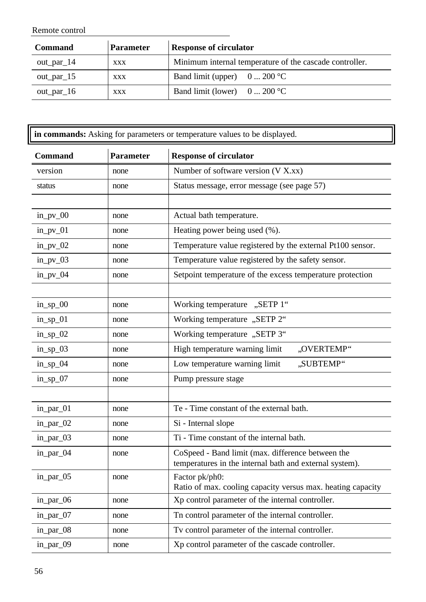Remote control

| <b>Command</b> | <b>Parameter</b> | <b>Response of circulator</b>                           |
|----------------|------------------|---------------------------------------------------------|
| out_par_ $14$  | <b>XXX</b>       | Minimum internal temperature of the cascade controller. |
| $out\_par\_15$ | <b>XXX</b>       | Band limit (upper) $0 \dots 200$ °C                     |
| $out\_par\_16$ | <b>XXX</b>       | Band limit (lower) $0 \dots 200$ °C                     |

| in commands: Asking for parameters or temperature values to be displayed. |                  |                                                                                                              |
|---------------------------------------------------------------------------|------------------|--------------------------------------------------------------------------------------------------------------|
| <b>Command</b>                                                            | <b>Parameter</b> | <b>Response of circulator</b>                                                                                |
| version                                                                   | none             | Number of software version (V X.xx)                                                                          |
| status                                                                    | none             | Status message, error message (see page 57)                                                                  |
|                                                                           |                  |                                                                                                              |
| $in\_pv\_00$                                                              | none             | Actual bath temperature.                                                                                     |
| $in\_pv_01$                                                               | none             | Heating power being used (%).                                                                                |
| $in\_pv_02$                                                               | none             | Temperature value registered by the external Pt100 sensor.                                                   |
| $in_p$ v_03                                                               | none             | Temperature value registered by the safety sensor.                                                           |
| in_pv_04                                                                  | none             | Setpoint temperature of the excess temperature protection                                                    |
|                                                                           |                  |                                                                                                              |
| $in_sp_0$                                                                 | none             | Working temperature "SETP 1"                                                                                 |
| $in_sp_01$                                                                | none             | Working temperature "SETP 2"                                                                                 |
| $in_sp_02$                                                                | none             | "SETP 3. Working temperature "SETP 3.                                                                        |
| $in_sp_03$                                                                | none             | High temperature warning limit<br>"OVERTEMP"                                                                 |
| $in_sp_04$                                                                | none             | Low temperature warning limit<br>"SUBTEMP"                                                                   |
| $in_sp_07$                                                                | none             | Pump pressure stage                                                                                          |
|                                                                           |                  |                                                                                                              |
| in_par_01                                                                 | none             | Te - Time constant of the external bath.                                                                     |
| in_par_02                                                                 | none             | Si - Internal slope                                                                                          |
| in_par_03                                                                 | none             | Ti - Time constant of the internal bath.                                                                     |
| in_par_04                                                                 | none             | CoSpeed - Band limit (max. difference between the<br>temperatures in the internal bath and external system). |
| in_par_05                                                                 | none             | Factor pk/ph0:<br>Ratio of max. cooling capacity versus max. heating capacity                                |
| in_par_06                                                                 | none             | Xp control parameter of the internal controller.                                                             |
| in_par_07                                                                 | none             | Tn control parameter of the internal controller.                                                             |
| in_par_08                                                                 | none             | Tv control parameter of the internal controller.                                                             |
| in_par_09                                                                 | none             | Xp control parameter of the cascade controller.                                                              |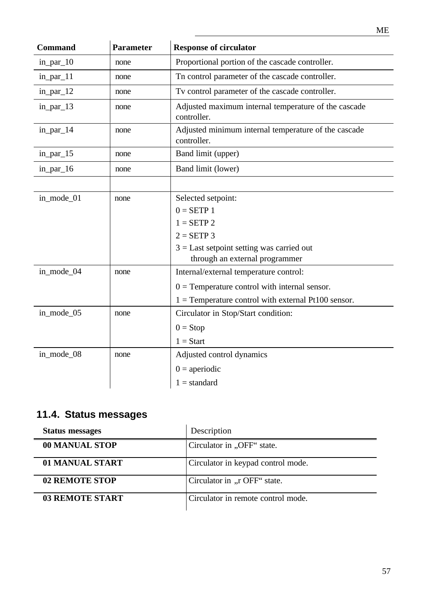| <b>Command</b> | <b>Parameter</b> | <b>Response of circulator</b>                                       |
|----------------|------------------|---------------------------------------------------------------------|
| in_par_10      | none             | Proportional portion of the cascade controller.                     |
| $in\_par\_11$  | none             | Tn control parameter of the cascade controller.                     |
| in_par_12      | none             | Tv control parameter of the cascade controller.                     |
| in_par_13      | none             | Adjusted maximum internal temperature of the cascade<br>controller. |
| in_par_14      | none             | Adjusted minimum internal temperature of the cascade<br>controller. |
| $in\_par\_15$  | none             | Band limit (upper)                                                  |
| in_par_16      | none             | Band limit (lower)                                                  |
|                |                  |                                                                     |
| in_mode_01     | none             | Selected setpoint:                                                  |
|                |                  | $0 = SETP 1$                                                        |
|                |                  | $1 = SETP 2$                                                        |
|                |                  | $2 = SETP$ 3                                                        |
|                |                  | $3 =$ Last setpoint setting was carried out                         |
|                |                  | through an external programmer                                      |
| in_mode_04     | none             | Internal/external temperature control:                              |
|                |                  | $0 =$ Temperature control with internal sensor.                     |
|                |                  | $1 =$ Temperature control with external Pt100 sensor.               |
| in_mode_05     | none             | Circulator in Stop/Start condition:                                 |
|                |                  | $0 = Stop$                                                          |
|                |                  | $1 = Start$                                                         |
| in_mode_08     | none             | Adjusted control dynamics                                           |
|                |                  | $0 =$ aperiodic                                                     |
|                |                  | $1 =$ standard                                                      |
|                |                  |                                                                     |

### **11.4. Status messages**

| <b>Status messages</b> | Description                        |
|------------------------|------------------------------------|
| 00 MANUAL STOP         | Circulator in "OFF" state.         |
| 01 MANUAL START        | Circulator in keypad control mode. |
| 02 REMOTE STOP         | Circulator in "r OFF" state.       |
| <b>03 REMOTE START</b> | Circulator in remote control mode. |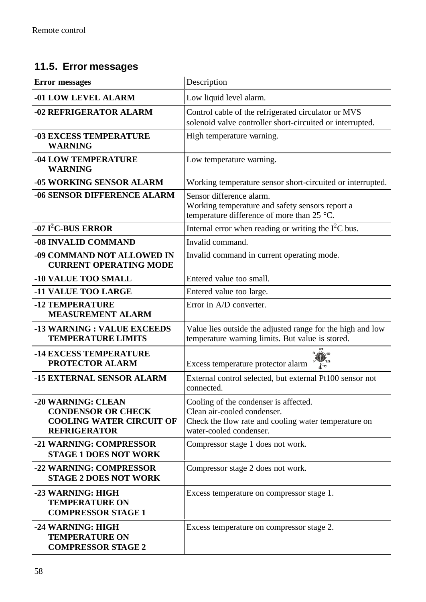### **11.5. Error messages**

| <b>Error</b> messages                                                                                     | Description                                                                                                                                             |  |
|-----------------------------------------------------------------------------------------------------------|---------------------------------------------------------------------------------------------------------------------------------------------------------|--|
| -01 LOW LEVEL ALARM                                                                                       | Low liquid level alarm.                                                                                                                                 |  |
| -02 REFRIGERATOR ALARM                                                                                    | Control cable of the refrigerated circulator or MVS<br>solenoid valve controller short-circuited or interrupted.                                        |  |
| <b>-03 EXCESS TEMPERATURE</b><br><b>WARNING</b>                                                           | High temperature warning.                                                                                                                               |  |
| <b>-04 LOW TEMPERATURE</b><br><b>WARNING</b>                                                              | Low temperature warning.                                                                                                                                |  |
| -05 WORKING SENSOR ALARM                                                                                  | Working temperature sensor short-circuited or interrupted.                                                                                              |  |
| <b>-06 SENSOR DIFFERENCE ALARM</b>                                                                        | Sensor difference alarm.<br>Working temperature and safety sensors report a<br>temperature difference of more than 25 °C.                               |  |
| $-07$ I <sup>2</sup> C-BUS ERROR                                                                          | Internal error when reading or writing the $I2C$ bus.                                                                                                   |  |
| -08 INVALID COMMAND                                                                                       | Invalid command.                                                                                                                                        |  |
| -09 COMMAND NOT ALLOWED IN<br><b>CURRENT OPERATING MODE</b>                                               | Invalid command in current operating mode.                                                                                                              |  |
| <b>-10 VALUE TOO SMALL</b>                                                                                | Entered value too small.                                                                                                                                |  |
| <b>-11 VALUE TOO LARGE</b>                                                                                | Entered value too large.                                                                                                                                |  |
| <b>-12 TEMPERATURE</b><br><b>MEASUREMENT ALARM</b>                                                        | Error in A/D converter.                                                                                                                                 |  |
| -13 WARNING : VALUE EXCEEDS<br><b>TEMPERATURE LIMITS</b>                                                  | Value lies outside the adjusted range for the high and low<br>temperature warning limits. But value is stored.                                          |  |
| <b>-14 EXCESS TEMPERATURE</b><br><b>PROTECTOR ALARM</b>                                                   | Excess temperature protector alarm<br>Æч.                                                                                                               |  |
| -15 EXTERNAL SENSOR ALARM                                                                                 | External control selected, but external Pt100 sensor not<br>connected.                                                                                  |  |
| -20 WARNING: CLEAN<br><b>CONDENSOR OR CHECK</b><br><b>COOLING WATER CIRCUIT OF</b><br><b>REFRIGERATOR</b> | Cooling of the condenser is affected.<br>Clean air-cooled condenser.<br>Check the flow rate and cooling water temperature on<br>water-cooled condenser. |  |
| -21 WARNING: COMPRESSOR<br><b>STAGE 1 DOES NOT WORK</b>                                                   | Compressor stage 1 does not work.                                                                                                                       |  |
| -22 WARNING: COMPRESSOR<br><b>STAGE 2 DOES NOT WORK</b>                                                   | Compressor stage 2 does not work.                                                                                                                       |  |
| -23 WARNING: HIGH<br><b>TEMPERATURE ON</b><br><b>COMPRESSOR STAGE 1</b>                                   | Excess temperature on compressor stage 1.                                                                                                               |  |
| -24 WARNING: HIGH<br><b>TEMPERATURE ON</b><br><b>COMPRESSOR STAGE 2</b>                                   | Excess temperature on compressor stage 2.                                                                                                               |  |

 $\overline{a}$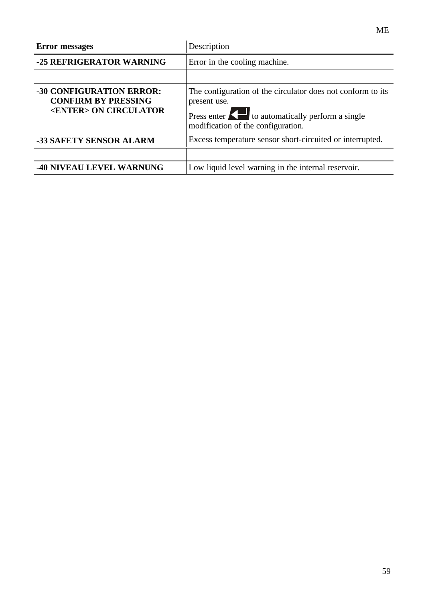| <b>Error</b> messages                                                                          | Description                                                                                                                                                                                  |  |
|------------------------------------------------------------------------------------------------|----------------------------------------------------------------------------------------------------------------------------------------------------------------------------------------------|--|
| -25 REFRIGERATOR WARNING                                                                       | Error in the cooling machine.                                                                                                                                                                |  |
|                                                                                                |                                                                                                                                                                                              |  |
| <b>-30 CONFIGURATION ERROR:</b><br><b>CONFIRM BY PRESSING</b><br><enter> ON CIRCULATOR</enter> | The configuration of the circulator does not conform to its<br>present use.<br>Press enter $\left\{\right. \right\}$ to automatically perform a single<br>modification of the configuration. |  |
| <b>-33 SAFETY SENSOR ALARM</b>                                                                 | Excess temperature sensor short-circuited or interrupted.                                                                                                                                    |  |
|                                                                                                |                                                                                                                                                                                              |  |
| <b>-40 NIVEAU LEVEL WARNUNG</b>                                                                | Low liquid level warning in the internal reservoir.                                                                                                                                          |  |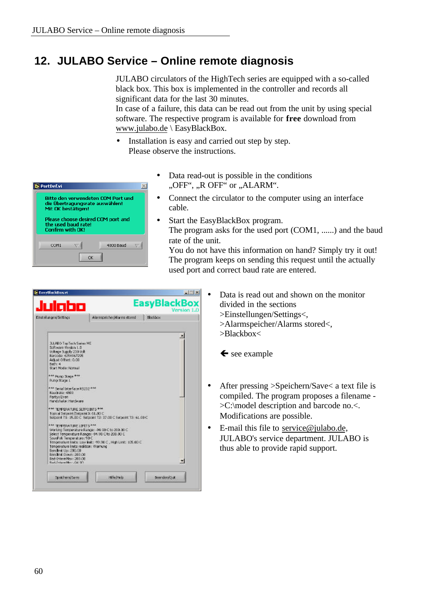### **12. JULABO Service – Online remote diagnosis**

 $\overline{\mathbb{X}}$ 

 $\overline{\overline{z}}$ 

JULABO circulators of the HighTech series are equipped with a so-called black box. This box is implemented in the controller and records all significant data for the last 30 minutes.

In case of a failure, this data can be read out from the unit by using special software. The respective program is available for **free** download from www.julabo.de \ EasyBlackBox.

- Installation is easy and carried out step by step. Please observe the instructions.
	- Data read-out is possible in the conditions "OFF", "R OFF" or "ALARM".
	- Connect the circulator to the computer using an interface cable.
	- Start the EasyBlackBox program. The program asks for the used port (COM1, ......) and the baud rate of the unit.

You do not have this information on hand? Simply try it out! The program keeps on sending this request until the actually used port and correct baud rate are entered.

| Julabo                                                                                                                                                                                                |                                                                                                                                                                    | <b>EasyBlackBox</b><br>Version 1.0 |
|-------------------------------------------------------------------------------------------------------------------------------------------------------------------------------------------------------|--------------------------------------------------------------------------------------------------------------------------------------------------------------------|------------------------------------|
| Einstellungen/Settings                                                                                                                                                                                | Algrangeicher JAlarens stored                                                                                                                                      | Blackbox                           |
|                                                                                                                                                                                                       |                                                                                                                                                                    |                                    |
| <b>JLLABO Top Tech Suries ME</b><br>Software Version 1.0<br>Voltage Supply 230 Volt<br>Barcoda: 4294967205<br>Adjust Offset: 0.00<br>Netty 4:<br>Start Moder Normal                                   |                                                                                                                                                                    |                                    |
| *** Funp Stage ***<br>Pump Shage L                                                                                                                                                                    |                                                                                                                                                                    |                                    |
| *** Serial Interface R5232 ***<br>Baudrate: 4800.<br>Paritivi Even<br>Handshake: Handsrate                                                                                                            |                                                                                                                                                                    |                                    |
| *** TEMPERATURE SETPOINTS ***<br>Topical Secpeint (Selpeint 3: 61,00 C                                                                                                                                | Setpoint T1: 15.00 C Setpoint T2: 37.00 C Setpoint T3: 61.00 C                                                                                                     |                                    |
| *** TEMPERATURE UNITS ***<br>SevePob Temperature: 98 C<br>Temperature links realition: Warnung<br>Bending Up: 200.00<br>Bandlink Down: 200.00<br>Bad-Internitas: 200.00<br>Real-Federal Mess JOB (20) | Working Temperature Range: -94, 90 C to 200, 00 C<br>Select Temperature Ranger -94,90 C to 200,00 C<br>Temperature links: Low Ink: -99.90 C., High Link: 105.00 C. |                                    |
| Spekherni Save                                                                                                                                                                                        | Hiferhield                                                                                                                                                         | Beenderufülut:                     |

4800 Baud

- Data is read out and shown on the monitor divided in the sections >Einstellungen/Settings<, >Alarmspeicher/Alarms stored<,
	- >Blackbox<

 $\leftarrow$  see example

- After pressing >Speichern/Save< a text file is compiled. The program proposes a filename - >C:\model description and barcode no.<. Modifications are possible.
- E-mail this file to service@julabo.de, JULABO's service department. JULABO is thus able to provide rapid support.

PortDef.vi

**Bitte den verwendeten COM Port und** die Übertragungsrate auswählen!<br>Mit OK bestätigen! Please choose desired COM nort and

 $\alpha$ 

the used baud rate! Confirm with OK!

COM1